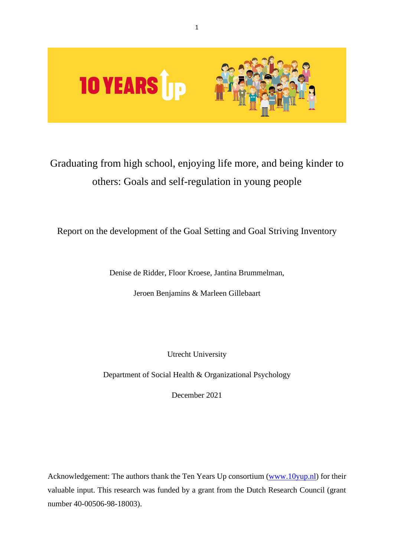

# Graduating from high school, enjoying life more, and being kinder to others: Goals and self-regulation in young people

# Report on the development of the Goal Setting and Goal Striving Inventory

Denise de Ridder, Floor Kroese, Jantina Brummelman,

Jeroen Benjamins & Marleen Gillebaart

Utrecht University

Department of Social Health & Organizational Psychology

December 2021

Acknowledgement: The authors thank the Ten Years Up consortium [\(www.10yup.nl\)](http://www.10yup.nl/) for their valuable input. This research was funded by a grant from the Dutch Research Council (grant number 40-00506-98-18003).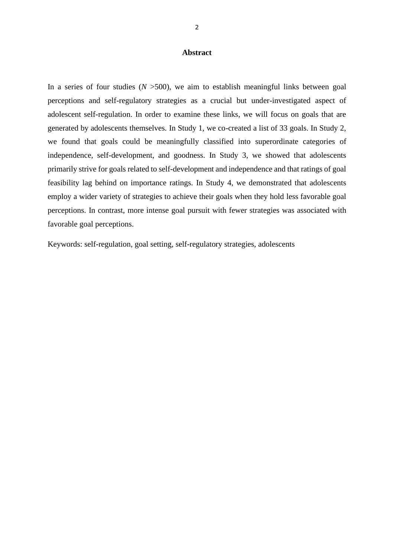#### **Abstract**

In a series of four studies  $(N > 500)$ , we aim to establish meaningful links between goal perceptions and self-regulatory strategies as a crucial but under-investigated aspect of adolescent self-regulation. In order to examine these links, we will focus on goals that are generated by adolescents themselves. In Study 1, we co-created a list of 33 goals. In Study 2, we found that goals could be meaningfully classified into superordinate categories of independence, self-development, and goodness. In Study 3, we showed that adolescents primarily strive for goals related to self-development and independence and that ratings of goal feasibility lag behind on importance ratings. In Study 4, we demonstrated that adolescents employ a wider variety of strategies to achieve their goals when they hold less favorable goal perceptions. In contrast, more intense goal pursuit with fewer strategies was associated with favorable goal perceptions.

Keywords: self-regulation, goal setting, self-regulatory strategies, adolescents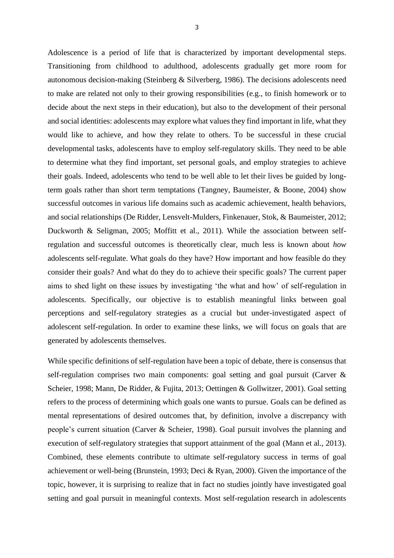Adolescence is a period of life that is characterized by important developmental steps. Transitioning from childhood to adulthood, adolescents gradually get more room for autonomous decision-making (Steinberg & Silverberg, 1986). The decisions adolescents need to make are related not only to their growing responsibilities (e.g., to finish homework or to decide about the next steps in their education), but also to the development of their personal and social identities: adolescents may explore what values they find important in life, what they would like to achieve, and how they relate to others. To be successful in these crucial developmental tasks, adolescents have to employ self-regulatory skills. They need to be able to determine what they find important, set personal goals, and employ strategies to achieve their goals. Indeed, adolescents who tend to be well able to let their lives be guided by longterm goals rather than short term temptations (Tangney, Baumeister, & Boone, 2004) show successful outcomes in various life domains such as academic achievement, health behaviors, and social relationships (De Ridder, Lensvelt-Mulders, Finkenauer, Stok, & Baumeister, 2012; Duckworth & Seligman, 2005; Moffitt et al., 2011). While the association between selfregulation and successful outcomes is theoretically clear, much less is known about *how* adolescents self-regulate. What goals do they have? How important and how feasible do they consider their goals? And what do they do to achieve their specific goals? The current paper aims to shed light on these issues by investigating 'the what and how' of self-regulation in adolescents. Specifically, our objective is to establish meaningful links between goal perceptions and self-regulatory strategies as a crucial but under-investigated aspect of adolescent self-regulation. In order to examine these links, we will focus on goals that are generated by adolescents themselves.

While specific definitions of self-regulation have been a topic of debate, there is consensus that self-regulation comprises two main components: goal setting and goal pursuit (Carver & Scheier, 1998; Mann, De Ridder, & Fujita, 2013; Oettingen & Gollwitzer, 2001). Goal setting refers to the process of determining which goals one wants to pursue. Goals can be defined as mental representations of desired outcomes that, by definition, involve a discrepancy with people's current situation (Carver & Scheier, 1998). Goal pursuit involves the planning and execution of self-regulatory strategies that support attainment of the goal (Mann et al., 2013). Combined, these elements contribute to ultimate self-regulatory success in terms of goal achievement or well-being (Brunstein, 1993; Deci & Ryan, 2000). Given the importance of the topic, however, it is surprising to realize that in fact no studies jointly have investigated goal setting and goal pursuit in meaningful contexts. Most self-regulation research in adolescents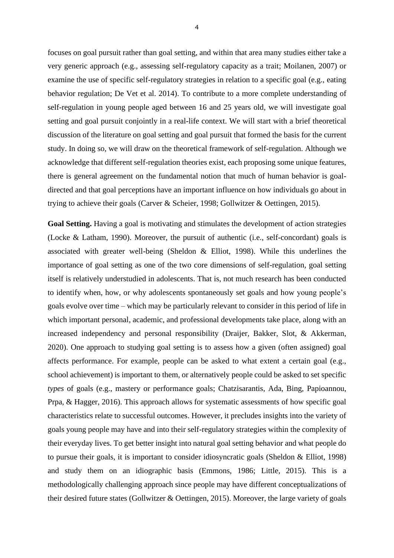focuses on goal pursuit rather than goal setting, and within that area many studies either take a very generic approach (e.g., assessing self-regulatory capacity as a trait; Moilanen, 2007) or examine the use of specific self-regulatory strategies in relation to a specific goal (e.g., eating behavior regulation; De Vet et al. 2014). To contribute to a more complete understanding of self-regulation in young people aged between 16 and 25 years old, we will investigate goal setting and goal pursuit conjointly in a real-life context. We will start with a brief theoretical discussion of the literature on goal setting and goal pursuit that formed the basis for the current study. In doing so, we will draw on the theoretical framework of self-regulation. Although we acknowledge that different self-regulation theories exist, each proposing some unique features, there is general agreement on the fundamental notion that much of human behavior is goaldirected and that goal perceptions have an important influence on how individuals go about in trying to achieve their goals (Carver & Scheier, 1998; Gollwitzer & Oettingen, 2015).

**Goal Setting.** Having a goal is motivating and stimulates the development of action strategies (Locke & Latham, 1990). Moreover, the pursuit of authentic (i.e., self-concordant) goals is associated with greater well-being (Sheldon & Elliot, 1998). While this underlines the importance of goal setting as one of the two core dimensions of self-regulation, goal setting itself is relatively understudied in adolescents. That is, not much research has been conducted to identify when, how, or why adolescents spontaneously set goals and how young people's goals evolve over time – which may be particularly relevant to consider in this period of life in which important personal, academic, and professional developments take place, along with an increased independency and personal responsibility (Draijer, Bakker, Slot, & Akkerman, 2020). One approach to studying goal setting is to assess how a given (often assigned) goal affects performance. For example, people can be asked to what extent a certain goal (e.g., school achievement) is important to them, or alternatively people could be asked to set specific *types* of goals (e.g., mastery or performance goals; Chatzisarantis, Ada, Bing, Papioannou, Prpa, & Hagger, 2016). This approach allows for systematic assessments of how specific goal characteristics relate to successful outcomes. However, it precludes insights into the variety of goals young people may have and into their self-regulatory strategies within the complexity of their everyday lives. To get better insight into natural goal setting behavior and what people do to pursue their goals, it is important to consider idiosyncratic goals (Sheldon & Elliot, 1998) and study them on an idiographic basis (Emmons, 1986; Little, 2015). This is a methodologically challenging approach since people may have different conceptualizations of their desired future states (Gollwitzer & Oettingen, 2015). Moreover, the large variety of goals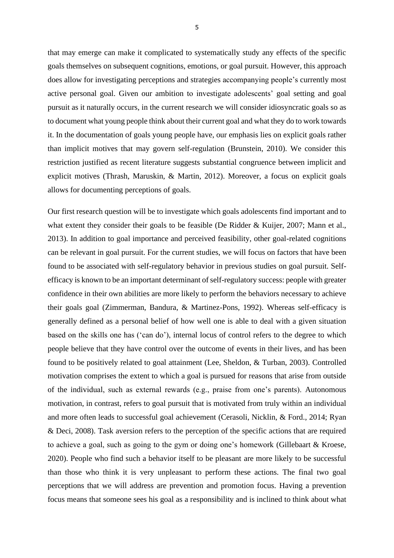that may emerge can make it complicated to systematically study any effects of the specific goals themselves on subsequent cognitions, emotions, or goal pursuit. However, this approach does allow for investigating perceptions and strategies accompanying people's currently most active personal goal. Given our ambition to investigate adolescents' goal setting and goal pursuit as it naturally occurs, in the current research we will consider idiosyncratic goals so as to document what young people think about their current goal and what they do to work towards it. In the documentation of goals young people have, our emphasis lies on explicit goals rather than implicit motives that may govern self-regulation (Brunstein, 2010). We consider this restriction justified as recent literature suggests substantial congruence between implicit and explicit motives (Thrash, Maruskin, & Martin, 2012). Moreover, a focus on explicit goals allows for documenting perceptions of goals.

Our first research question will be to investigate which goals adolescents find important and to what extent they consider their goals to be feasible (De Ridder & Kuijer, 2007; Mann et al., 2013). In addition to goal importance and perceived feasibility, other goal-related cognitions can be relevant in goal pursuit. For the current studies, we will focus on factors that have been found to be associated with self-regulatory behavior in previous studies on goal pursuit. Selfefficacy is known to be an important determinant of self-regulatory success: people with greater confidence in their own abilities are more likely to perform the behaviors necessary to achieve their goals goal (Zimmerman, Bandura, & Martinez-Pons, 1992). Whereas self-efficacy is generally defined as a personal belief of how well one is able to deal with a given situation based on the skills one has ('can do'), internal locus of control refers to the degree to which people believe that they have control over the outcome of events in their lives, and has been found to be positively related to goal attainment (Lee, Sheldon, & Turban, 2003). Controlled motivation comprises the extent to which a goal is pursued for reasons that arise from outside of the individual, such as external rewards (e.g., praise from one's parents). Autonomous motivation, in contrast, refers to goal pursuit that is motivated from truly within an individual and more often leads to successful goal achievement (Cerasoli, Nicklin, & Ford., 2014; Ryan & Deci, 2008). Task aversion refers to the perception of the specific actions that are required to achieve a goal, such as going to the gym or doing one's homework (Gillebaart & Kroese, 2020). People who find such a behavior itself to be pleasant are more likely to be successful than those who think it is very unpleasant to perform these actions. The final two goal perceptions that we will address are prevention and promotion focus. Having a prevention focus means that someone sees his goal as a responsibility and is inclined to think about what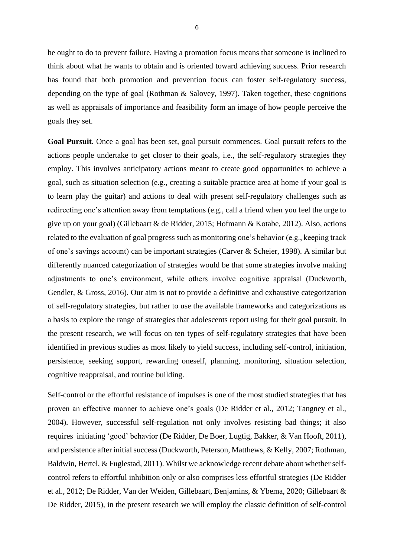he ought to do to prevent failure. Having a promotion focus means that someone is inclined to think about what he wants to obtain and is oriented toward achieving success. Prior research has found that both promotion and prevention focus can foster self-regulatory success, depending on the type of goal (Rothman & Salovey, 1997). Taken together, these cognitions as well as appraisals of importance and feasibility form an image of how people perceive the goals they set.

**Goal Pursuit.** Once a goal has been set, goal pursuit commences. Goal pursuit refers to the actions people undertake to get closer to their goals, i.e., the self-regulatory strategies they employ. This involves anticipatory actions meant to create good opportunities to achieve a goal, such as situation selection (e.g., creating a suitable practice area at home if your goal is to learn play the guitar) and actions to deal with present self-regulatory challenges such as redirecting one's attention away from temptations (e.g., call a friend when you feel the urge to give up on your goal) (Gillebaart & de Ridder, 2015; Hofmann & Kotabe, 2012). Also, actions related to the evaluation of goal progress such as monitoring one's behavior (e.g., keeping track of one's savings account) can be important strategies (Carver & Scheier, 1998). A similar but differently nuanced categorization of strategies would be that some strategies involve making adjustments to one's environment, while others involve cognitive appraisal (Duckworth, Gendler, & Gross, 2016). Our aim is not to provide a definitive and exhaustive categorization of self-regulatory strategies, but rather to use the available frameworks and categorizations as a basis to explore the range of strategies that adolescents report using for their goal pursuit. In the present research, we will focus on ten types of self-regulatory strategies that have been identified in previous studies as most likely to yield success, including self-control, initiation, persistence, seeking support, rewarding oneself, planning, monitoring, situation selection, cognitive reappraisal, and routine building.

Self-control or the effortful resistance of impulses is one of the most studied strategies that has proven an effective manner to achieve one's goals (De Ridder et al., 2012; Tangney et al., 2004). However, successful self-regulation not only involves resisting bad things; it also requires initiating 'good' behavior (De Ridder, De Boer, Lugtig, Bakker, & Van Hooft, 2011), and persistence after initial success (Duckworth, Peterson, Matthews, & Kelly, 2007; Rothman, Baldwin, Hertel, & Fuglestad, 2011). Whilst we acknowledge recent debate about whether selfcontrol refers to effortful inhibition only or also comprises less effortful strategies (De Ridder et al., 2012; De Ridder, Van der Weiden, Gillebaart, Benjamins, & Ybema, 2020; Gillebaart & De Ridder, 2015), in the present research we will employ the classic definition of self-control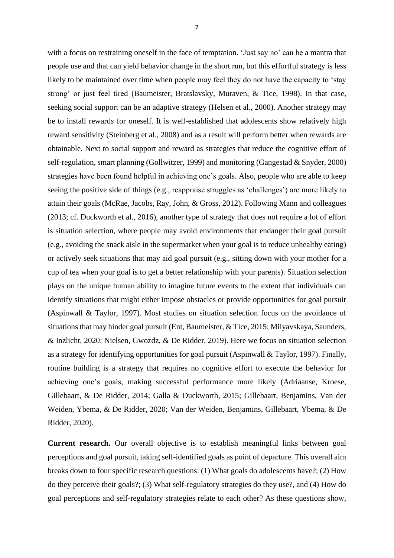with a focus on restraining oneself in the face of temptation. 'Just say no' can be a mantra that people use and that can yield behavior change in the short run, but this effortful strategy is less likely to be maintained over time when people may feel they do not have the capacity to 'stay strong' or just feel tired (Baumeister, Bratslavsky, Muraven, & Tice, 1998). In that case, seeking social support can be an adaptive strategy (Helsen et al., 2000). Another strategy may be to install reward*s* for oneself. It is well-established that adolescents show relatively high reward sensitivity (Steinberg et al., 2008) and as a result will perform better when rewards are obtainable. Next to social support and reward as strategies that reduce the cognitive effort of self-regulation, smart planning (Gollwitzer, 1999) and monitoring (Gangestad & Snyder, 2000) strategies have been found helpful in achieving one's goals. Also, people who are able to keep seeing the positive side of things (e.g., reappraise struggles as 'challenges') are more likely to attain their goals (McRae, Jacobs, Ray, John, & Gross, 2012). Following Mann and colleagues (2013; cf. Duckworth et al., 2016), another type of strategy that does not require a lot of effort is situation selection, where people may avoid environments that endanger their goal pursuit (e.g., avoiding the snack aisle in the supermarket when your goal is to reduce unhealthy eating) or actively seek situations that may aid goal pursuit (e.g., sitting down with your mother for a cup of tea when your goal is to get a better relationship with your parents). Situation selection plays on the unique human ability to imagine future events to the extent that individuals can identify situations that might either impose obstacles or provide opportunities for goal pursuit (Aspinwall & Taylor, 1997). Most studies on situation selection focus on the avoidance of situations that may hinder goal pursuit (Ent, Baumeister, & Tice, 2015; Milyavskaya, Saunders, & Inzlicht, 2020; Nielsen, Gwozdz, & De Ridder, 2019). Here we focus on situation selection as a strategy for identifying opportunities for goal pursuit (Aspinwall & Taylor, 1997). Finally, routine building is a strategy that requires no cognitive effort to execute the behavior for achieving one's goals, making successful performance more likely (Adriaanse, Kroese, Gillebaart, & De Ridder, 2014; Galla & Duckworth, 2015; Gillebaart, Benjamins, Van der Weiden, Ybema, & De Ridder, 2020; Van der Weiden, Benjamins, Gillebaart, Ybema, & De Ridder, 2020).

**Current research.** Our overall objective is to establish meaningful links between goal perceptions and goal pursuit, taking self-identified goals as point of departure. This overall aim breaks down to four specific research questions: (1) What goals do adolescents have?; (2) How do they perceive their goals?; (3) What self-regulatory strategies do they use?, and (4) How do goal perceptions and self-regulatory strategies relate to each other? As these questions show,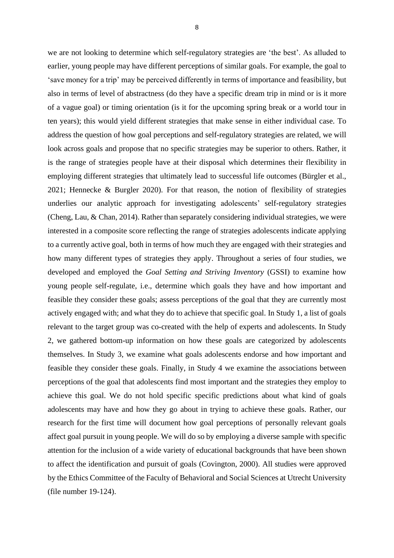we are not looking to determine which self-regulatory strategies are 'the best'. As alluded to earlier, young people may have different perceptions of similar goals. For example, the goal to 'save money for a trip' may be perceived differently in terms of importance and feasibility, but also in terms of level of abstractness (do they have a specific dream trip in mind or is it more of a vague goal) or timing orientation (is it for the upcoming spring break or a world tour in ten years); this would yield different strategies that make sense in either individual case. To address the question of how goal perceptions and self-regulatory strategies are related, we will look across goals and propose that no specific strategies may be superior to others. Rather, it is the range of strategies people have at their disposal which determines their flexibility in employing different strategies that ultimately lead to successful life outcomes (Bürgler et al., 2021; Hennecke & Burgler 2020). For that reason, the notion of flexibility of strategies underlies our analytic approach for investigating adolescents' self-regulatory strategies (Cheng, Lau, & Chan, 2014). Rather than separately considering individual strategies, we were interested in a composite score reflecting the range of strategies adolescents indicate applying to a currently active goal, both in terms of how much they are engaged with their strategies and how many different types of strategies they apply. Throughout a series of four studies, we developed and employed the *Goal Setting and Striving Inventory* (GSSI) to examine how young people self-regulate, i.e., determine which goals they have and how important and feasible they consider these goals; assess perceptions of the goal that they are currently most actively engaged with; and what they do to achieve that specific goal. In Study 1, a list of goals relevant to the target group was co-created with the help of experts and adolescents. In Study 2, we gathered bottom-up information on how these goals are categorized by adolescents themselves. In Study 3, we examine what goals adolescents endorse and how important and feasible they consider these goals. Finally, in Study 4 we examine the associations between perceptions of the goal that adolescents find most important and the strategies they employ to achieve this goal. We do not hold specific specific predictions about what kind of goals adolescents may have and how they go about in trying to achieve these goals. Rather, our research for the first time will document how goal perceptions of personally relevant goals affect goal pursuit in young people. We will do so by employing a diverse sample with specific attention for the inclusion of a wide variety of educational backgrounds that have been shown to affect the identification and pursuit of goals (Covington, 2000). All studies were approved by the Ethics Committee of the Faculty of Behavioral and Social Sciences at Utrecht University

(file number 19-124).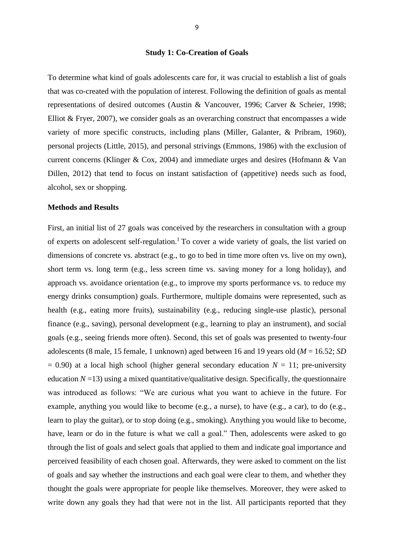#### **Study 1: Co-Creation of Goals**

To determine what kind of goals adolescents care for, it was crucial to establish a list of goals that was co-created with the population of interest. Following the definition of goals as mental representations of desired outcomes (Austin & Vancouver, 1996; Carver & Scheier, 1998; Elliot & Fryer, 2007), we consider goals as an overarching construct that encompasses a wide variety of more specific constructs, including plans (Miller, Galanter, & Pribram, 1960), personal projects (Little, 2015), and personal strivings (Emmons, 1986) with the exclusion of current concerns (Klinger & Cox, 2004) and immediate urges and desires (Hofmann & Van Dillen, 2012) that tend to focus on instant satisfaction of (appetitive) needs such as food, alcohol, sex or shopping.

#### **Methods and Results**

First, an initial list of 27 goals was conceived by the researchers in consultation with a group of experts on adolescent self-regulation.<sup>1</sup> To cover a wide variety of goals, the list varied on dimensions of concrete vs. abstract (e.g., to go to bed in time more often vs. live on my own), short term vs. long term (e.g., less screen time vs. saving money for a long holiday), and approach vs. avoidance orientation (e.g., to improve my sports performance vs. to reduce my energy drinks consumption) goals. Furthermore, multiple domains were represented, such as health (e.g., eating more fruits), sustainability (e.g., reducing single-use plastic), personal finance (e.g., saving), personal development (e.g., learning to play an instrument), and social goals (e.g., seeing friends more often). Second, this set of goals was presented to twenty-four adolescents (8 male, 15 female, 1 unknown) aged between 16 and 19 years old (*M* = 16.52; *SD*   $= 0.90$ ) at a local high school (higher general secondary education  $N = 11$ ; pre-university education  $N = 13$ ) using a mixed quantitative/qualitative design. Specifically, the questionnaire was introduced as follows: "We are curious what you want to achieve in the future. For example, anything you would like to become (e.g., a nurse), to have (e.g., a car), to do (e.g., learn to play the guitar), or to stop doing (e.g., smoking). Anything you would like to become, have, learn or do in the future is what we call a goal." Then, adolescents were asked to go through the list of goals and select goals that applied to them and indicate goal importance and perceived feasibility of each chosen goal. Afterwards, they were asked to comment on the list of goals and say whether the instructions and each goal were clear to them, and whether they thought the goals were appropriate for people like themselves. Moreover, they were asked to write down any goals they had that were not in the list. All participants reported that they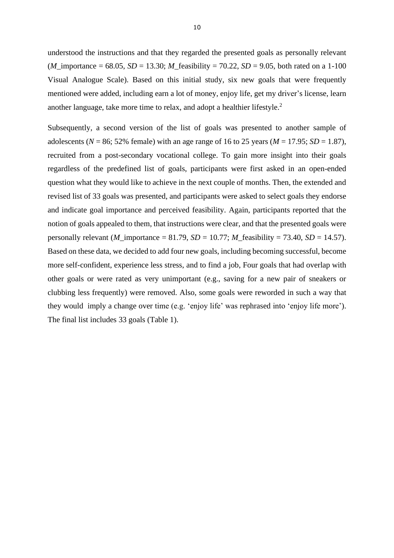understood the instructions and that they regarded the presented goals as personally relevant (*M* importance = 68.05, *SD* = 13.30; *M* feasibility = 70.22, *SD* = 9.05, both rated on a 1-100 Visual Analogue Scale). Based on this initial study, six new goals that were frequently mentioned were added, including earn a lot of money, enjoy life, get my driver's license, learn another language, take more time to relax, and adopt a healthier lifestyle.<sup>2</sup>

Subsequently, a second version of the list of goals was presented to another sample of adolescents ( $N = 86$ ; 52% female) with an age range of 16 to 25 years ( $M = 17.95$ ;  $SD = 1.87$ ), recruited from a post-secondary vocational college. To gain more insight into their goals regardless of the predefined list of goals, participants were first asked in an open-ended question what they would like to achieve in the next couple of months. Then, the extended and revised list of 33 goals was presented, and participants were asked to select goals they endorse and indicate goal importance and perceived feasibility. Again, participants reported that the notion of goals appealed to them, that instructions were clear, and that the presented goals were personally relevant (*M*\_importance = 81.79, *SD* = 10.77; *M*\_feasibility = 73.40, *SD* = 14.57). Based on these data, we decided to add four new goals, including becoming successful, become more self-confident, experience less stress, and to find a job, Four goals that had overlap with other goals or were rated as very unimportant (e.g., saving for a new pair of sneakers or clubbing less frequently) were removed. Also, some goals were reworded in such a way that they would imply a change over time (e.g. 'enjoy life' was rephrased into 'enjoy life more'). The final list includes 33 goals (Table 1).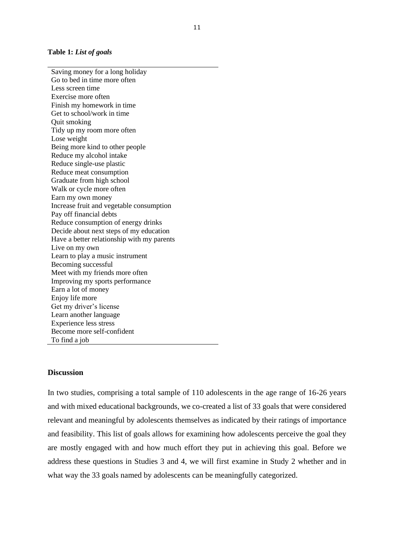#### **Table 1:** *List of goals*

Saving money for a long holiday Go to bed in time more often Less screen time Exercise more often Finish my homework in time Get to school/work in time Quit smoking Tidy up my room more often Lose weight Being more kind to other people Reduce my alcohol intake Reduce single-use plastic Reduce meat consumption Graduate from high school Walk or cycle more often Earn my own money Increase fruit and vegetable consumption Pay off financial debts Reduce consumption of energy drinks Decide about next steps of my education Have a better relationship with my parents Live on my own Learn to play a music instrument Becoming successful Meet with my friends more often Improving my sports performance Earn a lot of money Enjoy life more Get my driver's license Learn another language Experience less stress Become more self-confident To find a job

#### **Discussion**

In two studies, comprising a total sample of 110 adolescents in the age range of 16-26 years and with mixed educational backgrounds, we co-created a list of 33 goals that were considered relevant and meaningful by adolescents themselves as indicated by their ratings of importance and feasibility. This list of goals allows for examining how adolescents perceive the goal they are mostly engaged with and how much effort they put in achieving this goal. Before we address these questions in Studies 3 and 4, we will first examine in Study 2 whether and in what way the 33 goals named by adolescents can be meaningfully categorized.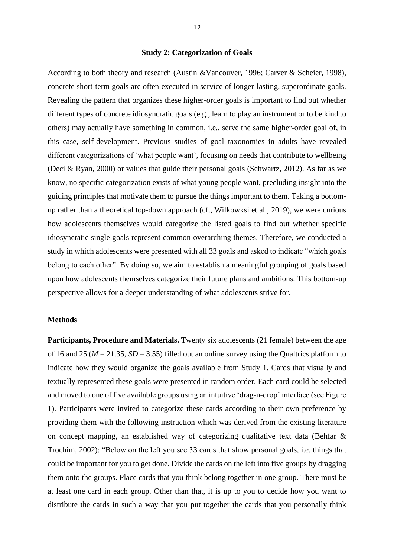#### **Study 2: Categorization of Goals**

According to both theory and research (Austin &Vancouver, 1996; Carver & Scheier, 1998), concrete short-term goals are often executed in service of longer-lasting, superordinate goals. Revealing the pattern that organizes these higher-order goals is important to find out whether different types of concrete idiosyncratic goals (e.g., learn to play an instrument or to be kind to others) may actually have something in common, i.e., serve the same higher-order goal of, in this case, self-development. Previous studies of goal taxonomies in adults have revealed different categorizations of 'what people want', focusing on needs that contribute to wellbeing (Deci & Ryan, 2000) or values that guide their personal goals (Schwartz, 2012). As far as we know, no specific categorization exists of what young people want, precluding insight into the guiding principles that motivate them to pursue the things important to them. Taking a bottomup rather than a theoretical top-down approach (cf., Wilkowksi et al., 2019), we were curious how adolescents themselves would categorize the listed goals to find out whether specific idiosyncratic single goals represent common overarching themes. Therefore, we conducted a study in which adolescents were presented with all 33 goals and asked to indicate "which goals belong to each other". By doing so, we aim to establish a meaningful grouping of goals based upon how adolescents themselves categorize their future plans and ambitions. This bottom-up perspective allows for a deeper understanding of what adolescents strive for.

#### **Methods**

**Participants, Procedure and Materials.** Twenty six adolescents (21 female) between the age of 16 and 25 ( $M = 21.35$ ,  $SD = 3.55$ ) filled out an online survey using the Qualtrics platform to indicate how they would organize the goals available from Study 1. Cards that visually and textually represented these goals were presented in random order. Each card could be selected and moved to one of five available groups using an intuitive 'drag-n-drop' interface (see Figure 1). Participants were invited to categorize these cards according to their own preference by providing them with the following instruction which was derived from the existing literature on concept mapping, an established way of categorizing qualitative text data (Behfar & Trochim, 2002): "Below on the left you see 33 cards that show personal goals, i.e. things that could be important for you to get done. Divide the cards on the left into five groups by dragging them onto the groups. Place cards that you think belong together in one group. There must be at least one card in each group. Other than that, it is up to you to decide how you want to distribute the cards in such a way that you put together the cards that you personally think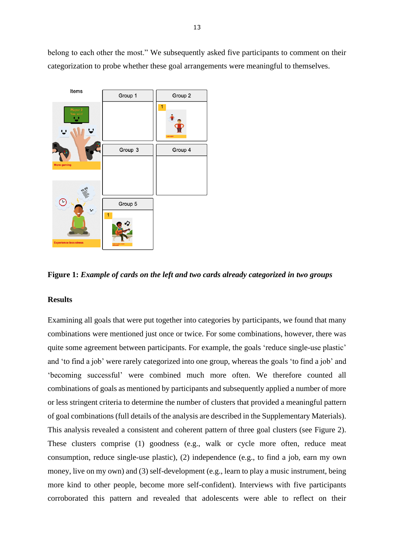belong to each other the most." We subsequently asked five participants to comment on their categorization to probe whether these goal arrangements were meaningful to themselves.



**Figure 1:** *Example of cards on the left and two cards already categorized in two groups*

#### **Results**

Examining all goals that were put together into categories by participants, we found that many combinations were mentioned just once or twice. For some combinations, however, there was quite some agreement between participants. For example, the goals 'reduce single-use plastic' and 'to find a job' were rarely categorized into one group, whereas the goals 'to find a job' and 'becoming successful' were combined much more often. We therefore counted all combinations of goals as mentioned by participants and subsequently applied a number of more or less stringent criteria to determine the number of clusters that provided a meaningful pattern of goal combinations (full details of the analysis are described in the Supplementary Materials). This analysis revealed a consistent and coherent pattern of three goal clusters (see Figure 2). These clusters comprise (1) goodness (e.g., walk or cycle more often, reduce meat consumption, reduce single-use plastic), (2) independence (e.g., to find a job, earn my own money, live on my own) and (3) self-development (e.g., learn to play a music instrument, being more kind to other people, become more self-confident). Interviews with five participants corroborated this pattern and revealed that adolescents were able to reflect on their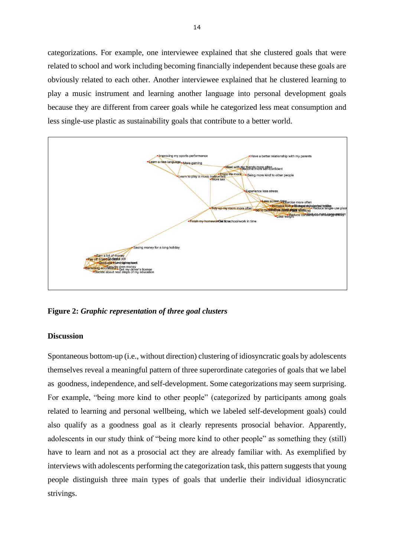categorizations. For example, one interviewee explained that she clustered goals that were related to school and work including becoming financially independent because these goals are obviously related to each other. Another interviewee explained that he clustered learning to play a music instrument and learning another language into personal development goals because they are different from career goals while he categorized less meat consumption and less single-use plastic as sustainability goals that contribute to a better world.



**Figure 2:** *Graphic representation of three goal clusters*

#### **Discussion**

Spontaneous bottom-up (i.e., without direction) clustering of idiosyncratic goals by adolescents themselves reveal a meaningful pattern of three superordinate categories of goals that we label as goodness, independence, and self-development. Some categorizations may seem surprising. For example, "being more kind to other people" (categorized by participants among goals related to learning and personal wellbeing, which we labeled self-development goals) could also qualify as a goodness goal as it clearly represents prosocial behavior. Apparently, adolescents in our study think of "being more kind to other people" as something they (still) have to learn and not as a prosocial act they are already familiar with. As exemplified by interviews with adolescents performing the categorization task, this pattern suggests that young people distinguish three main types of goals that underlie their individual idiosyncratic strivings.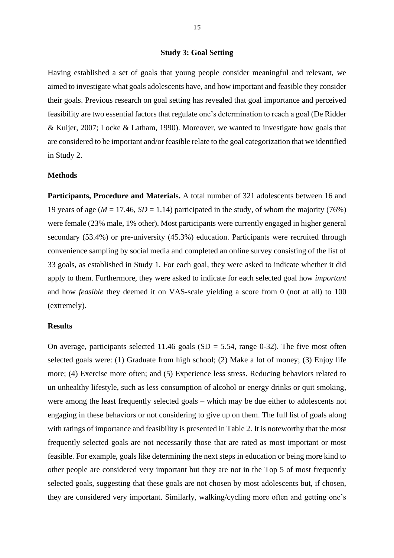#### **Study 3: Goal Setting**

Having established a set of goals that young people consider meaningful and relevant, we aimed to investigate what goals adolescents have, and how important and feasible they consider their goals. Previous research on goal setting has revealed that goal importance and perceived feasibility are two essential factors that regulate one's determination to reach a goal (De Ridder & Kuijer, 2007; Locke & Latham, 1990). Moreover, we wanted to investigate how goals that are considered to be important and/or feasible relate to the goal categorization that we identified in Study 2.

#### **Methods**

**Participants, Procedure and Materials.** A total number of 321 adolescents between 16 and 19 years of age ( $M = 17.46$ ,  $SD = 1.14$ ) participated in the study, of whom the majority (76%) were female (23% male, 1% other). Most participants were currently engaged in higher general secondary (53.4%) or pre-university (45.3%) education. Participants were recruited through convenience sampling by social media and completed an online survey consisting of the list of 33 goals, as established in Study 1. For each goal, they were asked to indicate whether it did apply to them. Furthermore, they were asked to indicate for each selected goal how *important* and how *feasible* they deemed it on VAS-scale yielding a score from 0 (not at all) to 100 (extremely).

#### **Results**

On average, participants selected 11.46 goals  $(SD = 5.54$ , range 0-32). The five most often selected goals were: (1) Graduate from high school; (2) Make a lot of money; (3) Enjoy life more; (4) Exercise more often; and (5) Experience less stress. Reducing behaviors related to un unhealthy lifestyle, such as less consumption of alcohol or energy drinks or quit smoking, were among the least frequently selected goals – which may be due either to adolescents not engaging in these behaviors or not considering to give up on them. The full list of goals along with ratings of importance and feasibility is presented in Table 2. It is noteworthy that the most frequently selected goals are not necessarily those that are rated as most important or most feasible. For example, goals like determining the next steps in education or being more kind to other people are considered very important but they are not in the Top 5 of most frequently selected goals, suggesting that these goals are not chosen by most adolescents but, if chosen, they are considered very important. Similarly, walking/cycling more often and getting one's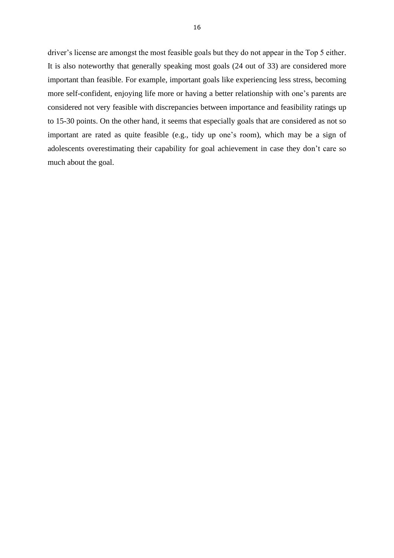driver's license are amongst the most feasible goals but they do not appear in the Top 5 either. It is also noteworthy that generally speaking most goals (24 out of 33) are considered more important than feasible. For example, important goals like experiencing less stress, becoming more self-confident, enjoying life more or having a better relationship with one's parents are considered not very feasible with discrepancies between importance and feasibility ratings up to 15-30 points. On the other hand, it seems that especially goals that are considered as not so important are rated as quite feasible (e.g., tidy up one's room), which may be a sign of adolescents overestimating their capability for goal achievement in case they don't care so much about the goal.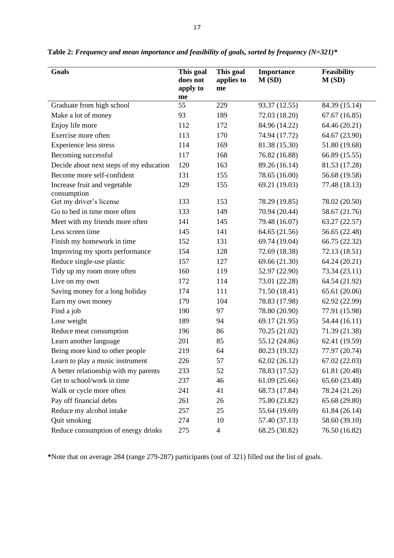| <b>Goals</b>                                | This goal<br>does not<br>apply to | This goal<br>applies to<br>me | Importance<br>M(SD) | Feasibility<br>M(SD) |  |  |  |
|---------------------------------------------|-----------------------------------|-------------------------------|---------------------|----------------------|--|--|--|
|                                             | me                                |                               |                     |                      |  |  |  |
| Graduate from high school                   | 55                                | 229                           | 93.37 (12.55)       | 84.39 (15.14)        |  |  |  |
| Make a lot of money                         | 93                                | 189                           | 72.03 (18.20)       | 67.67(16.85)         |  |  |  |
| Enjoy life more                             | 112                               | 172                           | 84.96 (14.22)       | 64.46 (20.21)        |  |  |  |
| Exercise more often                         | 113                               | 170                           | 74.94 (17.72)       | 64.67 (23.90)        |  |  |  |
| <b>Experience less stress</b>               | 114                               | 169                           | 81.38 (15.30)       | 51.80 (19.68)        |  |  |  |
| Becoming successful                         | 117                               | 168                           | 76.82 (16.88)       | 66.89 (15.55)        |  |  |  |
| Decide about next steps of my education     | 120                               | 163                           | 89.26 (16.14)       | 81.53 (17.28)        |  |  |  |
| Become more self-confident                  | 131                               | 155                           | 78.65 (16.00)       | 56.68 (19.58)        |  |  |  |
| Increase fruit and vegetable<br>consumption | 129                               | 155                           | 69.21 (19.03)       | 77.48 (18.13)        |  |  |  |
| Get my driver's license                     | 133                               | 153                           | 78.29 (19.85)       | 78.02 (20.50)        |  |  |  |
| Go to bed in time more often                | 133                               | 149                           | 70.94 (20.44)       | 58.67 (21.76)        |  |  |  |
| Meet with my friends more often             | 141                               | 145                           | 79.48 (16.07)       | 63.27 (22.57)        |  |  |  |
| Less screen time                            | 145                               | 141                           | 64.65 (21.56)       | 56.65 (22.48)        |  |  |  |
| Finish my homework in time                  | 152                               | 131                           | 69.74 (19.04)       | 66.75 (22.32)        |  |  |  |
| Improving my sports performance             | 154                               | 128                           | 72.69 (18.38)       | 72.13 (18.51)        |  |  |  |
| Reduce single-use plastic                   | 157                               | 127                           | 69.66 (21.30)       | 64.24 (20.21)        |  |  |  |
| Tidy up my room more often                  | 160                               | 119                           | 52.97 (22.90)       | 73.34 (23.11)        |  |  |  |
| Live on my own                              | 172                               | 114                           | 73.01 (22.28)       | 64.54 (21.92)        |  |  |  |
| Saving money for a long holiday             | 174                               | 111                           | 71.50 (18.41)       | 65.61 (20.06)        |  |  |  |
| Earn my own money                           | 179                               | 104                           | 78.83 (17.98)       | 62.92 (22.99)        |  |  |  |
| Find a job                                  | 190                               | 97                            | 78.80 (20.90)       | 77.91 (15.98)        |  |  |  |
| Lose weight                                 | 189                               | 94                            | 69.17 (21.95)       | 54.44 (16.11)        |  |  |  |
| Reduce meat consumption                     | 196                               | 86                            | 70.25 (21.02)       | 71.39 (21.38)        |  |  |  |
| Learn another language                      | 201                               | 85                            | 55.12 (24.86)       | 62.41 (19.59)        |  |  |  |
| Being more kind to other people             | 219                               | 64                            | 80.23 (19.32)       | 77.97 (20.74)        |  |  |  |
| Learn to play a music instrument            | 226                               | 57                            | 62.02 (26.12)       | 67.02 (22.03)        |  |  |  |
| A better relationship with my parents       | 233                               | 52                            | 78.83 (17.52)       | 61.81 (20.48)        |  |  |  |
| Get to school/work in time                  | 237                               | 46                            | 61.09 (25.66)       | 65.60 (23.48)        |  |  |  |
| Walk or cycle more often                    | 241                               | 41                            | 68.73 (17.84)       | 78.24 (21.26)        |  |  |  |
| Pay off financial debts                     | 261                               | 26                            | 75.80 (23.82)       | 65.68 (29.80)        |  |  |  |
| Reduce my alcohol intake                    | 257                               | 25                            | 55.64 (19.69)       | 61.84 (26.14)        |  |  |  |
| Quit smoking                                | 274                               | 10                            | 57.40 (37.13)       | 58.60 (39.10)        |  |  |  |
| Reduce consumption of energy drinks         | 275                               | $\overline{4}$                | 68.25 (30.82)       | 76.50 (16.82)        |  |  |  |

**Table 2:** *Frequency and mean importance and feasibility of goals, sorted by frequency (N=321)\**

**\***Note that on average 284 (range 279-287) participants (out of 321) filled out the list of goals.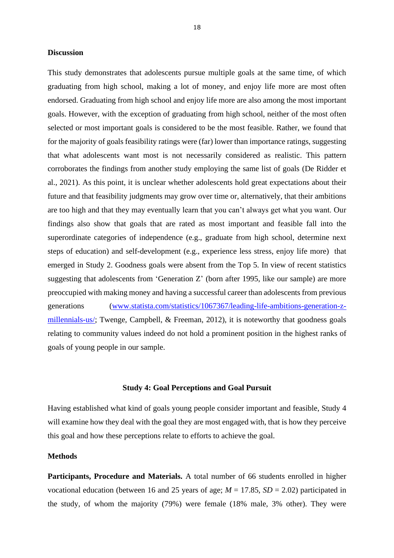#### **Discussion**

This study demonstrates that adolescents pursue multiple goals at the same time, of which graduating from high school, making a lot of money, and enjoy life more are most often endorsed. Graduating from high school and enjoy life more are also among the most important goals. However, with the exception of graduating from high school, neither of the most often selected or most important goals is considered to be the most feasible. Rather, we found that for the majority of goals feasibility ratings were (far) lower than importance ratings, suggesting that what adolescents want most is not necessarily considered as realistic. This pattern corroborates the findings from another study employing the same list of goals (De Ridder et al., 2021). As this point, it is unclear whether adolescents hold great expectations about their future and that feasibility judgments may grow over time or, alternatively, that their ambitions are too high and that they may eventually learn that you can't always get what you want. Our findings also show that goals that are rated as most important and feasible fall into the superordinate categories of independence (e.g., graduate from high school, determine next steps of education) and self-development (e.g., experience less stress, enjoy life more) that emerged in Study 2. Goodness goals were absent from the Top 5. In view of recent statistics suggesting that adolescents from 'Generation Z' (born after 1995, like our sample) are more preoccupied with making money and having a successful career than adolescents from previous generations [\(www.statista.com/statistics/1067367/leading-life-ambitions-generation-z](http://www.statista.com/statistics/1067367/leading-life-ambitions-generation-z-millennials-us/)[millennials-us/;](http://www.statista.com/statistics/1067367/leading-life-ambitions-generation-z-millennials-us/) Twenge, Campbell, & Freeman, 2012), it is noteworthy that goodness goals relating to community values indeed do not hold a prominent position in the highest ranks of goals of young people in our sample.

#### **Study 4: Goal Perceptions and Goal Pursuit**

Having established what kind of goals young people consider important and feasible, Study 4 will examine how they deal with the goal they are most engaged with, that is how they perceive this goal and how these perceptions relate to efforts to achieve the goal.

#### **Methods**

**Participants, Procedure and Materials.** A total number of 66 students enrolled in higher vocational education (between 16 and 25 years of age;  $M = 17.85$ ,  $SD = 2.02$ ) participated in the study, of whom the majority (79%) were female (18% male, 3% other). They were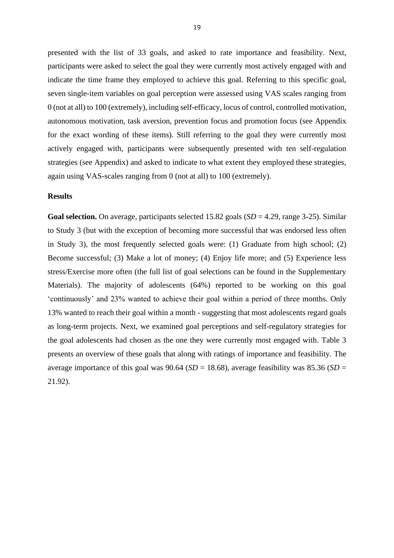presented with the list of 33 goals, and asked to rate importance and feasibility. Next, participants were asked to select the goal they were currently most actively engaged with and indicate the time frame they employed to achieve this goal. Referring to this specific goal, seven single-item variables on goal perception were assessed using VAS scales ranging from 0 (not at all) to 100 (extremely), including self-efficacy, locus of control, controlled motivation, autonomous motivation, task aversion, prevention focus and promotion focus (see Appendix for the exact wording of these items). Still referring to the goal they were currently most actively engaged with, participants were subsequently presented with ten self-regulation strategies (see Appendix) and asked to indicate to what extent they employed these strategies, again using VAS-scales ranging from 0 (not at all) to 100 (extremely).

#### **Results**

**Goal selection.** On average, participants selected 15.82 goals (*SD* = 4.29, range 3-25). Similar to Study 3 (but with the exception of becoming more successful that was endorsed less often in Study 3), the most frequently selected goals were: (1) Graduate from high school; (2) Become successful; (3) Make a lot of money; (4) Enjoy life more; and (5) Experience less stress/Exercise more often (the full list of goal selections can be found in the Supplementary Materials). The majority of adolescents (64%) reported to be working on this goal 'continuously' and 23% wanted to achieve their goal within a period of three months. Only 13% wanted to reach their goal within a month - suggesting that most adolescents regard goals as long-term projects. Next, we examined goal perceptions and self-regulatory strategies for the goal adolescents had chosen as the one they were currently most engaged with. Table 3 presents an overview of these goals that along with ratings of importance and feasibility. The average importance of this goal was 90.64 ( $SD = 18.68$ ), average feasibility was 85.36 ( $SD =$ 21.92).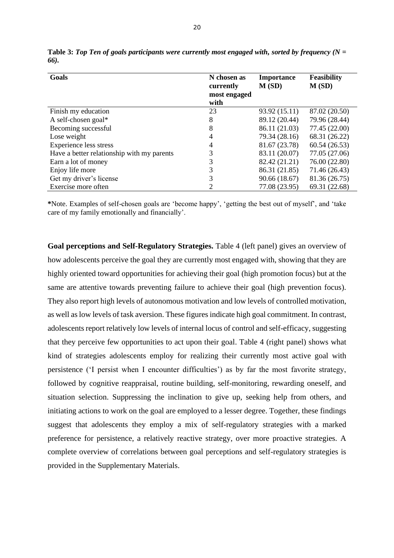| Goals                                      | N chosen as<br>currently<br>most engaged<br>with | <b>Importance</b><br>M(SD) | <b>Feasibility</b><br>M(SD) |  |  |  |
|--------------------------------------------|--------------------------------------------------|----------------------------|-----------------------------|--|--|--|
| Finish my education                        | 23                                               | 93.92 (15.11)              | 87.02 (20.50)               |  |  |  |
| A self-chosen goal*                        | 8                                                | 89.12 (20.44)              | 79.96 (28.44)               |  |  |  |
| Becoming successful                        | 8                                                | 86.11 (21.03)              | 77.45 (22.00)               |  |  |  |
| Lose weight                                | 4                                                | 79.34 (28.16)              | 68.31 (26.22)               |  |  |  |
| <b>Experience less stress</b>              | 4                                                | 81.67 (23.78)              | 60.54(26.53)                |  |  |  |
| Have a better relationship with my parents | 3                                                | 83.11 (20.07)              | 77.05 (27.06)               |  |  |  |
| Earn a lot of money                        | 3                                                | 82.42 (21.21)              | 76.00 (22.80)               |  |  |  |
| Enjoy life more                            | 3                                                | 86.31 (21.85)              | 71.46 (26.43)               |  |  |  |
| Get my driver's license                    | 3                                                | 90.66 (18.67)              | 81.36 (26.75)               |  |  |  |
| Exercise more often                        |                                                  | 77.08 (23.95)              | 69.31 (22.68)               |  |  |  |

**Table 3:** *Top Ten of goals participants were currently most engaged with, sorted by frequency (N = 66).*

**\***Note. Examples of self-chosen goals are 'become happy', 'getting the best out of myself', and 'take care of my family emotionally and financially'.

**Goal perceptions and Self-Regulatory Strategies.** Table 4 (left panel) gives an overview of how adolescents perceive the goal they are currently most engaged with, showing that they are highly oriented toward opportunities for achieving their goal (high promotion focus) but at the same are attentive towards preventing failure to achieve their goal (high prevention focus). They also report high levels of autonomous motivation and low levels of controlled motivation, as well as low levels of task aversion. These figures indicate high goal commitment. In contrast, adolescents report relatively low levels of internal locus of control and self-efficacy, suggesting that they perceive few opportunities to act upon their goal. Table 4 (right panel) shows what kind of strategies adolescents employ for realizing their currently most active goal with persistence ('I persist when I encounter difficulties') as by far the most favorite strategy, followed by cognitive reappraisal, routine building, self-monitoring, rewarding oneself, and situation selection. Suppressing the inclination to give up, seeking help from others, and initiating actions to work on the goal are employed to a lesser degree. Together, these findings suggest that adolescents they employ a mix of self-regulatory strategies with a marked preference for persistence, a relatively reactive strategy, over more proactive strategies. A complete overview of correlations between goal perceptions and self-regulatory strategies is provided in the Supplementary Materials.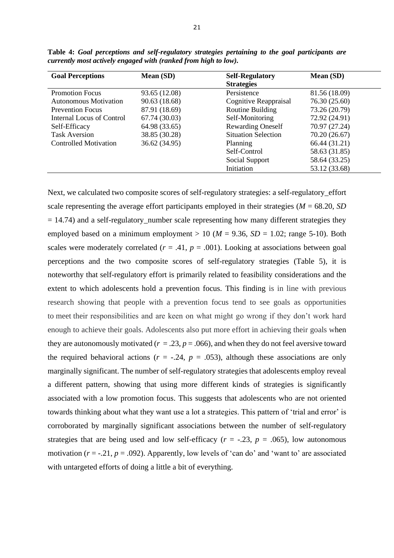| <b>Goal Perceptions</b>      | Mean (SD)     | <b>Self-Regulatory</b><br><b>Strategies</b> | <b>Mean (SD)</b> |
|------------------------------|---------------|---------------------------------------------|------------------|
| <b>Promotion Focus</b>       | 93.65 (12.08) | Persistence                                 | 81.56 (18.09)    |
| Autonomous Motivation        | 90.63 (18.68) | Cognitive Reappraisal                       | 76.30 (25.60)    |
| <b>Prevention Focus</b>      | 87.91 (18.69) | Routine Building                            | 73.26 (20.79)    |
| Internal Locus of Control    | 67.74 (30.03) | Self-Monitoring                             | 72.92 (24.91)    |
| Self-Efficacy                | 64.98 (33.65) | <b>Rewarding Oneself</b>                    | 70.97 (27.24)    |
| <b>Task Aversion</b>         | 38.85 (30.28) | <b>Situation Selection</b>                  | 70.20 (26.67)    |
| <b>Controlled Motivation</b> | 36.62 (34.95) | Planning                                    | 66.44 (31.21)    |
|                              |               | Self-Control                                | 58.63 (31.85)    |
|                              |               | Social Support                              | 58.64 (33.25)    |
|                              |               | Initiation                                  | 53.12 (33.68)    |

**Table 4:** *Goal perceptions and self-regulatory strategies pertaining to the goal participants are currently most actively engaged with (ranked from high to low).*

Next, we calculated two composite scores of self-regulatory strategies: a self-regulatory\_effort scale representing the average effort participants employed in their strategies ( $M = 68.20$ , *SD*)  $= 14.74$ ) and a self-regulatory\_number scale representing how many different strategies they employed based on a minimum employment  $> 10$  ( $M = 9.36$ ,  $SD = 1.02$ ; range 5-10). Both scales were moderately correlated  $(r = .41, p = .001)$ . Looking at associations between goal perceptions and the two composite scores of self-regulatory strategies (Table 5), it is noteworthy that self-regulatory effort is primarily related to feasibility considerations and the extent to which adolescents hold a prevention focus. This finding is in line with previous research showing that people with a prevention focus tend to see goals as opportunities to meet their responsibilities and are keen on what might go wrong if they don't work hard enough to achieve their goals. Adolescents also put more effort in achieving their goals when they are autonomously motivated ( $r = 0.23$ ,  $p = 0.066$ ), and when they do not feel aversive toward the required behavioral actions ( $r = -.24$ ,  $p = .053$ ), although these associations are only marginally significant. The number of self-regulatory strategies that adolescents employ reveal a different pattern, showing that using more different kinds of strategies is significantly associated with a low promotion focus. This suggests that adolescents who are not oriented towards thinking about what they want use a lot a strategies. This pattern of 'trial and error' is corroborated by marginally significant associations between the number of self-regulatory strategies that are being used and low self-efficacy ( $r = -.23$ ,  $p = .065$ ), low autonomous motivation  $(r = -0.21, p = 0.092)$ . Apparently, low levels of 'can do' and 'want to' are associated with untargeted efforts of doing a little a bit of everything.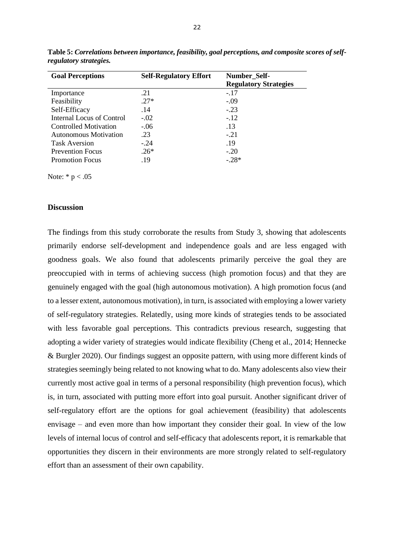| <b>Goal Perceptions</b>          | <b>Self-Regulatory Effort</b> | Number_Self-<br><b>Regulatory Strategies</b> |
|----------------------------------|-------------------------------|----------------------------------------------|
| Importance                       | .21                           | $-.17$                                       |
| Feasibility                      | $.27*$                        | $-.09$                                       |
| Self-Efficacy                    | .14                           | $-.23$                                       |
| <b>Internal Locus of Control</b> | $-.02$                        | $-.12$                                       |
| Controlled Motivation            | $-.06$                        | .13                                          |
| Autonomous Motivation            | .23                           | $-.21$                                       |
| <b>Task Aversion</b>             | $-.24$                        | .19                                          |
| <b>Prevention Focus</b>          | $.26*$                        | $-.20$                                       |
| <b>Promotion Focus</b>           | .19                           | $-28*$                                       |

**Table 5:** *Correlations between importance, feasibility, goal perceptions, and composite scores of selfregulatory strategies.*

Note:  $* p < .05$ 

#### **Discussion**

The findings from this study corroborate the results from Study 3, showing that adolescents primarily endorse self-development and independence goals and are less engaged with goodness goals. We also found that adolescents primarily perceive the goal they are preoccupied with in terms of achieving success (high promotion focus) and that they are genuinely engaged with the goal (high autonomous motivation). A high promotion focus (and to a lesser extent, autonomous motivation), in turn, is associated with employing a lower variety of self-regulatory strategies. Relatedly, using more kinds of strategies tends to be associated with less favorable goal perceptions. This contradicts previous research, suggesting that adopting a wider variety of strategies would indicate flexibility (Cheng et al., 2014; Hennecke & Burgler 2020). Our findings suggest an opposite pattern, with using more different kinds of strategies seemingly being related to not knowing what to do. Many adolescents also view their currently most active goal in terms of a personal responsibility (high prevention focus), which is, in turn, associated with putting more effort into goal pursuit. Another significant driver of self-regulatory effort are the options for goal achievement (feasibility) that adolescents envisage – and even more than how important they consider their goal. In view of the low levels of internal locus of control and self-efficacy that adolescents report, it is remarkable that opportunities they discern in their environments are more strongly related to self-regulatory effort than an assessment of their own capability.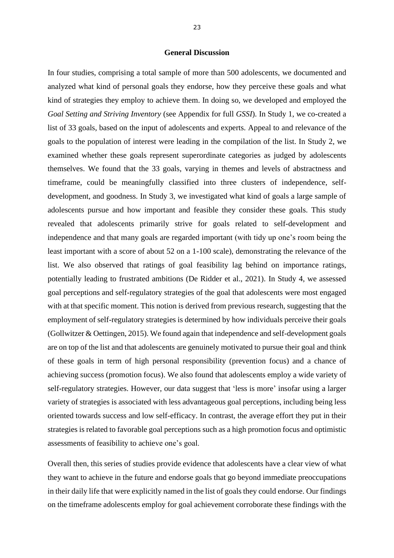#### **General Discussion**

In four studies, comprising a total sample of more than 500 adolescents, we documented and analyzed what kind of personal goals they endorse, how they perceive these goals and what kind of strategies they employ to achieve them. In doing so, we developed and employed the *Goal Setting and Striving Inventory* (see Appendix for full *GSSI*). In Study 1, we co-created a list of 33 goals, based on the input of adolescents and experts. Appeal to and relevance of the goals to the population of interest were leading in the compilation of the list. In Study 2, we examined whether these goals represent superordinate categories as judged by adolescents themselves. We found that the 33 goals, varying in themes and levels of abstractness and timeframe, could be meaningfully classified into three clusters of independence, selfdevelopment, and goodness. In Study 3, we investigated what kind of goals a large sample of adolescents pursue and how important and feasible they consider these goals. This study revealed that adolescents primarily strive for goals related to self-development and independence and that many goals are regarded important (with tidy up one's room being the least important with a score of about 52 on a 1-100 scale), demonstrating the relevance of the list. We also observed that ratings of goal feasibility lag behind on importance ratings, potentially leading to frustrated ambitions (De Ridder et al., 2021). In Study 4, we assessed goal perceptions and self-regulatory strategies of the goal that adolescents were most engaged with at that specific moment. This notion is derived from previous research, suggesting that the employment of self-regulatory strategies is determined by how individuals perceive their goals (Gollwitzer & Oettingen, 2015). We found again that independence and self-development goals are on top of the list and that adolescents are genuinely motivated to pursue their goal and think of these goals in term of high personal responsibility (prevention focus) and a chance of achieving success (promotion focus). We also found that adolescents employ a wide variety of self-regulatory strategies. However, our data suggest that 'less is more' insofar using a larger variety of strategies is associated with less advantageous goal perceptions, including being less oriented towards success and low self-efficacy. In contrast, the average effort they put in their strategies is related to favorable goal perceptions such as a high promotion focus and optimistic assessments of feasibility to achieve one's goal.

Overall then, this series of studies provide evidence that adolescents have a clear view of what they want to achieve in the future and endorse goals that go beyond immediate preoccupations in their daily life that were explicitly named in the list of goals they could endorse. Our findings on the timeframe adolescents employ for goal achievement corroborate these findings with the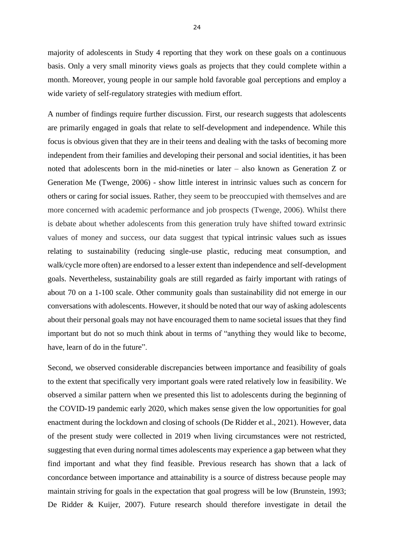majority of adolescents in Study 4 reporting that they work on these goals on a continuous basis. Only a very small minority views goals as projects that they could complete within a month. Moreover, young people in our sample hold favorable goal perceptions and employ a wide variety of self-regulatory strategies with medium effort.

A number of findings require further discussion. First, our research suggests that adolescents are primarily engaged in goals that relate to self-development and independence. While this focus is obvious given that they are in their teens and dealing with the tasks of becoming more independent from their families and developing their personal and social identities, it has been noted that adolescents born in the mid-nineties or later – also known as Generation Z or Generation Me (Twenge, 2006) - show little interest in intrinsic values such as concern for others or caring for social issues. Rather, they seem to be preoccupied with themselves and are more concerned with academic performance and job prospects (Twenge, 2006). Whilst there is debate about whether adolescents from this generation truly have shifted toward extrinsic values of money and success, our data suggest that typical intrinsic values such as issues relating to sustainability (reducing single-use plastic, reducing meat consumption, and walk/cycle more often) are endorsed to a lesser extent than independence and self-development goals. Nevertheless, sustainability goals are still regarded as fairly important with ratings of about 70 on a 1-100 scale. Other community goals than sustainability did not emerge in our conversations with adolescents. However, it should be noted that our way of asking adolescents about their personal goals may not have encouraged them to name societal issues that they find important but do not so much think about in terms of "anything they would like to become, have, learn of do in the future".

Second, we observed considerable discrepancies between importance and feasibility of goals to the extent that specifically very important goals were rated relatively low in feasibility. We observed a similar pattern when we presented this list to adolescents during the beginning of the COVID-19 pandemic early 2020, which makes sense given the low opportunities for goal enactment during the lockdown and closing of schools (De Ridder et al., 2021). However, data of the present study were collected in 2019 when living circumstances were not restricted, suggesting that even during normal times adolescents may experience a gap between what they find important and what they find feasible. Previous research has shown that a lack of concordance between importance and attainability is a source of distress because people may maintain striving for goals in the expectation that goal progress will be low (Brunstein, 1993; De Ridder & Kuijer, 2007). Future research should therefore investigate in detail the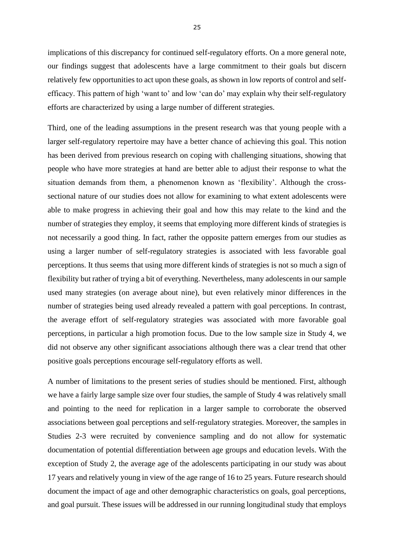implications of this discrepancy for continued self-regulatory efforts. On a more general note, our findings suggest that adolescents have a large commitment to their goals but discern relatively few opportunities to act upon these goals, as shown in low reports of control and selfefficacy. This pattern of high 'want to' and low 'can do' may explain why their self-regulatory efforts are characterized by using a large number of different strategies.

Third, one of the leading assumptions in the present research was that young people with a larger self-regulatory repertoire may have a better chance of achieving this goal. This notion has been derived from previous research on coping with challenging situations, showing that people who have more strategies at hand are better able to adjust their response to what the situation demands from them, a phenomenon known as 'flexibility'. Although the crosssectional nature of our studies does not allow for examining to what extent adolescents were able to make progress in achieving their goal and how this may relate to the kind and the number of strategies they employ, it seems that employing more different kinds of strategies is not necessarily a good thing. In fact, rather the opposite pattern emerges from our studies as using a larger number of self-regulatory strategies is associated with less favorable goal perceptions. It thus seems that using more different kinds of strategies is not so much a sign of flexibility but rather of trying a bit of everything. Nevertheless, many adolescents in our sample used many strategies (on average about nine), but even relatively minor differences in the number of strategies being used already revealed a pattern with goal perceptions. In contrast, the average effort of self-regulatory strategies was associated with more favorable goal perceptions, in particular a high promotion focus. Due to the low sample size in Study 4, we did not observe any other significant associations although there was a clear trend that other positive goals perceptions encourage self-regulatory efforts as well.

A number of limitations to the present series of studies should be mentioned. First, although we have a fairly large sample size over four studies, the sample of Study 4 was relatively small and pointing to the need for replication in a larger sample to corroborate the observed associations between goal perceptions and self-regulatory strategies. Moreover, the samples in Studies 2-3 were recruited by convenience sampling and do not allow for systematic documentation of potential differentiation between age groups and education levels. With the exception of Study 2, the average age of the adolescents participating in our study was about 17 years and relatively young in view of the age range of 16 to 25 years. Future research should document the impact of age and other demographic characteristics on goals, goal perceptions, and goal pursuit. These issues will be addressed in our running longitudinal study that employs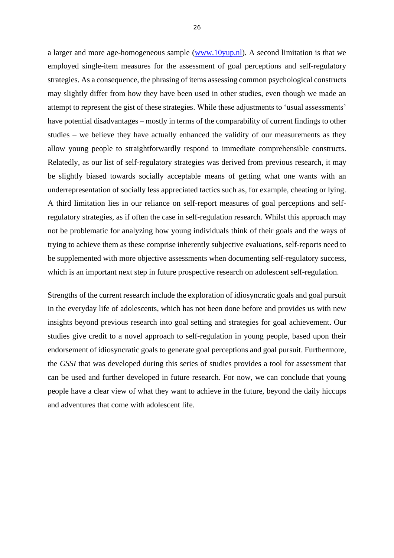a larger and more age-homogeneous sample [\(www.10yup.nl\)](http://www.10yup.nl/). A second limitation is that we employed single-item measures for the assessment of goal perceptions and self-regulatory strategies. As a consequence, the phrasing of items assessing common psychological constructs may slightly differ from how they have been used in other studies, even though we made an attempt to represent the gist of these strategies. While these adjustments to 'usual assessments' have potential disadvantages – mostly in terms of the comparability of current findings to other studies – we believe they have actually enhanced the validity of our measurements as they allow young people to straightforwardly respond to immediate comprehensible constructs. Relatedly, as our list of self-regulatory strategies was derived from previous research, it may be slightly biased towards socially acceptable means of getting what one wants with an underrepresentation of socially less appreciated tactics such as, for example, cheating or lying. A third limitation lies in our reliance on self-report measures of goal perceptions and selfregulatory strategies, as if often the case in self-regulation research. Whilst this approach may not be problematic for analyzing how young individuals think of their goals and the ways of trying to achieve them as these comprise inherently subjective evaluations, self-reports need to be supplemented with more objective assessments when documenting self-regulatory success, which is an important next step in future prospective research on adolescent self-regulation.

Strengths of the current research include the exploration of idiosyncratic goals and goal pursuit in the everyday life of adolescents, which has not been done before and provides us with new insights beyond previous research into goal setting and strategies for goal achievement. Our studies give credit to a novel approach to self-regulation in young people, based upon their endorsement of idiosyncratic goals to generate goal perceptions and goal pursuit. Furthermore, the *GSSI* that was developed during this series of studies provides a tool for assessment that can be used and further developed in future research. For now, we can conclude that young people have a clear view of what they want to achieve in the future, beyond the daily hiccups and adventures that come with adolescent life.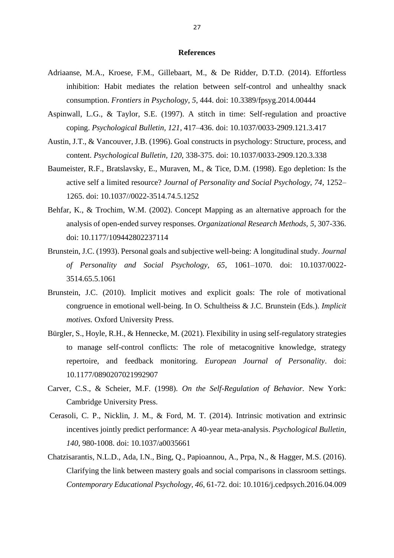#### **References**

- Adriaanse, M.A., Kroese, F.M., Gillebaart, M., & De Ridder, D.T.D. (2014). Effortless inhibition: Habit mediates the relation between self-control and unhealthy snack consumption. *Frontiers in Psychology*, *5*, 444. [doi: 10.3389/fpsyg.2014.00444](https://doi.org/10.3389/fpsyg.2014.00444)
- Aspinwall, L.G., & Taylor, S.E. (1997). A stitch in time: Self-regulation and proactive coping. *Psychological Bulletin, 121*, 417–436. [doi: 10.1037/0033-2909.121.3.417](https://psycnet.apa.org/doi/10.1037/0033-2909.121.3.417)
- Austin, J.T., & Vancouver, J.B. (1996). Goal constructs in psychology: Structure, process, and content. *Psychological Bulletin, 120*, 338-375. doi: [10.1037/0033-2909.120.3.338](https://www.researchgate.net/deref/http%3A%2F%2Fdx.doi.org%2F10.1037%2F0033-2909.120.3.338?_sg%5B0%5D=R-Q0UddXSgKFBXS0PpTtX03-Unlxk4FPwHKgZcn898wqNtUoGrw1ramL_wKxp35VrsZWdcQgTCkNAafLTWFUOMjDag.0gNGOCGpPKnJUMLDC1Fnoe0zQH44XW_QvpcMXXJ-MmTVqbrKDsM6TV0ADOLZ-pv7c4o3MUjeYyDV_eOpOHm6lQ)
- Baumeister, R.F., Bratslavsky, E., Muraven, M., & Tice, D.M. (1998). Ego depletion: Is the active self a limited resource? *Journal of Personality and Social Psychology, 74*, 1252– 1265. [doi: 10.1037//0022-3514.74.5.1252](https://doi.org/10.1037/0022-3514.74.5.1252)
- Behfar, K., & Trochim, W.M. (2002). Concept Mapping as an alternative approach for the analysis of open-ended survey responses. *Organizational Research Methods, 5*, 307-336. doi: [10.1177/109442802237114](https://www.researchgate.net/deref/http%3A%2F%2Fdx.doi.org%2F10.1177%2F109442802237114?_sg%5B0%5D=KTiIGFosQATPPt7bNKet0hza_VqUxnkF5uO5kKr-cj6_oJ6JPHmn3khFrnH4ldDDhStPnbBwuZTBvRGmjuhZfhW9xg.Ag_miWxXaFbigwm5wXvkkL3a1s5kYhbQGREBlMivRpNb2s3saKqxnN2UnaX_UqnaQbCLLJ_3yxtK2cZc6jfUKA)
- Brunstein, J.C. (1993). Personal goals and subjective well-being: A longitudinal study. *Journal of Personality and Social Psychology, 65*, 1061–1070. [doi: 10.1037/0022-](https://psycnet.apa.org/doi/10.1037/0022-3514.65.5.1061) [3514.65.5.1061](https://psycnet.apa.org/doi/10.1037/0022-3514.65.5.1061)
- Brunstein, J.C. (2010). Implicit motives and explicit goals: The role of motivational congruence in emotional well-being. In O. Schultheiss & J.C. Brunstein (Eds.). *Implicit motives.* Oxford University Press.
- Bürgler, S., Hoyle, R.H., & Hennecke, M. (2021). Flexibility in using self-regulatory strategies to manage self-control conflicts: The role of metacognitive knowledge, strategy repertoire, and feedback monitoring. *European Journal of Personality*. [doi:](https://doi.org/10.1177%2F0890207021992907)  [10.1177/0890207021992907](https://doi.org/10.1177%2F0890207021992907)
- Carver, C.S., & Scheier, M.F. (1998). *On the Self-Regulation of Behavior.* New York: Cambridge University Press.
- Cerasoli, C. P., Nicklin, J. M., & Ford, M. T. (2014). Intrinsic motivation and extrinsic incentives jointly predict performance: A 40-year meta-analysis. *Psychological Bulletin, 140*, 980-1008. [doi: 10.1037/a0035661](https://psycnet.apa.org/doi/10.1037/a0035661)
- Chatzisarantis, N.L.D., Ada, I.N., Bing, Q., Papioannou, A., Prpa, N., & Hagger, M.S. (2016). Clarifying the link between mastery goals and social comparisons in classroom settings. *Contemporary Educational Psychology, 46*, 61-72. doi: 10.1016/j.cedpsych.2016.04.009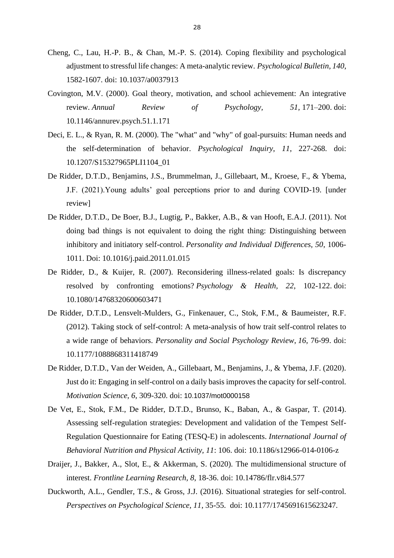- Cheng, C., Lau, H.-P. B., & Chan, M.-P. S. (2014). Coping flexibility and psychological adjustment to stressful life changes: A meta-analytic review. *Psychological Bulletin, 140*, 1582-1607. [doi: 10.1037/a0037913](https://psycnet.apa.org/doi/10.1037/a0037913)
- Covington, M.V. (2000). Goal theory, motivation, and school achievement: An integrative review. *Annual Review of Psychology, 51,* 171–200. [doi:](https://psycnet.apa.org/doi/10.1146/annurev.psych.51.1.171)  [10.1146/annurev.psych.51.1.171](https://psycnet.apa.org/doi/10.1146/annurev.psych.51.1.171)
- Deci, E. L., & Ryan, R. M. (2000). The "what" and "why" of goal-pursuits: Human needs and the self-determination of behavior. *Psychological Inquiry*, *11*, 227-268. [doi:](https://psycnet.apa.org/doi/10.1207/S15327965PLI1104_01)  [10.1207/S15327965PLI1104\\_01](https://psycnet.apa.org/doi/10.1207/S15327965PLI1104_01)
- De Ridder, D.T.D., Benjamins, J.S., Brummelman, J., Gillebaart, M., Kroese, F., & Ybema, J.F. (2021).Young adults' goal perceptions prior to and during COVID-19. [under review]
- De Ridder, D.T.D., De Boer, B.J., Lugtig, P., Bakker, A.B., & van Hooft, E.A.J. (2011). Not doing bad things is not equivalent to doing the right thing: Distinguishing between inhibitory and initiatory self-control. *Personality and Individual Differences, 50*, 1006- 1011. Doi: 10.1016/j.paid.2011.01.015
- De Ridder, D., & Kuijer, R. (2007). Reconsidering illness-related goals: Is discrepancy resolved by confronting emotions? *Psychology & Health, 22*, 102-122. [doi:](https://doi.org/10.1080/14768320600603471)  [10.1080/14768320600603471](https://doi.org/10.1080/14768320600603471)
- De Ridder, D.T.D., Lensvelt-Mulders, G., Finkenauer, C., Stok, F.M., & Baumeister, R.F. (2012). Taking stock of self-control: A meta-analysis of how trait self-control relates to a wide range of behaviors. *Personality and Social Psychology Review*, *16*, 76-99. [doi:](https://doi.org/10.1177/1088868311418749)  [10.1177/1088868311418749](https://doi.org/10.1177/1088868311418749)
- De Ridder, D.T.D., Van der Weiden, A., Gillebaart, M., Benjamins, J., & Ybema, J.F. (2020). Just do it: Engaging in self-control on a daily basis improves the capacity for self-control. *Motivation Science, 6*, 309-320. doi: [10.1037/mot0000158](https://psycnet.apa.org/doi/10.1037/mot0000158)
- De Vet, E., Stok, F.M., De Ridder, D.T.D., Brunso, K., Baban, A., & Gaspar, T. (2014). Assessing self-regulation strategies: Development and validation of the Tempest Self-Regulation Questionnaire for Eating (TESQ-E) in adolescents. *International Journal of Behavioral Nutrition and Physical Activity, 11*: 106. [doi: 10.1186/s12966-014-0106-z](https://psycnet.apa.org/doi/10.1186/s12966-014-0106-z)
- Draijer, J., Bakker, A., Slot, E., & Akkerman, S. (2020). The multidimensional structure of interest. *Frontline Learning Research, 8*, 18-36. doi: 10.14786/flr.v8i4.577
- Duckworth, A.L., Gendler, T.S., & Gross, J.J. (2016). Situational strategies for self-control. *Perspectives on Psychological Science, 11*, 35-55. doi: 10.1177/1745691615623247.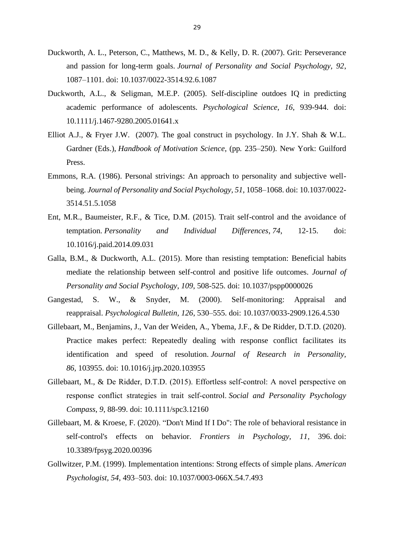- Duckworth, A. L., Peterson, C., Matthews, M. D., & Kelly, D. R. (2007). Grit: Perseverance and passion for long-term goals. *Journal of Personality and Social Psychology, 92*, 1087–1101. [doi: 10.1037/0022-3514.92.6.1087](https://psycnet.apa.org/doi/10.1037/0022-3514.92.6.1087)
- Duckworth, A.L., & Seligman, M.E.P. (2005). Self-discipline outdoes IQ in predicting academic performance of adolescents. *Psychological Science, 16*, 939-944. [doi:](https://doi.org/10.1111%2Fj.1467-9280.2005.01641.x)  [10.1111/j.1467-9280.2005.01641.x](https://doi.org/10.1111%2Fj.1467-9280.2005.01641.x)
- Elliot A.J., & Fryer J.W. (2007). The goal construct in psychology. In J.Y. Shah & W.L. Gardner (Eds.), *Handbook of Motivation Science*, (pp*.* 235–250). New York: Guilford Press.
- Emmons, R.A. (1986). Personal strivings: An approach to personality and subjective wellbeing. *Journal of Personality and Social Psychology, 51*, 1058–1068. [doi: 10.1037/0022-](https://psycnet.apa.org/doi/10.1037/0022-3514.51.5.1058) [3514.51.5.1058](https://psycnet.apa.org/doi/10.1037/0022-3514.51.5.1058)
- Ent, M.R., Baumeister, R.F., & Tice, D.M. (2015). Trait self-control and the avoidance of temptation. *Personality and Individual Differences*, *74*, 12-15. doi: [10.1016/j.paid.2014.09.031](https://psycnet.apa.org/doi/10.1016/j.paid.2014.09.031)
- Galla, B.M., & Duckworth, A.L. (2015). More than resisting temptation: Beneficial habits mediate the relationship between self-control and positive life outcomes. *Journal of Personality and Social Psychology*, *109*, 508-525. [doi: 10.1037/pspp0000026](https://doi.org/10.1037/pspp0000026)
- Gangestad, S. W., & Snyder, M. (2000). Self-monitoring: Appraisal and reappraisal. *Psychological Bulletin, 126*, 530–555. [doi: 10.1037/0033-2909.126.4.530](https://psycnet.apa.org/doi/10.1037/0033-2909.126.4.530)
- Gillebaart, M., Benjamins, J., Van der Weiden, A., Ybema, J.F., & De Ridder, D.T.D. (2020). Practice makes perfect: Repeatedly dealing with response conflict facilitates its identification and speed of resolution. *Journal of Research in Personality, 86,* 103955. [doi: 10.1016/j.jrp.2020.103955](https://psycnet.apa.org/doi/10.1016/j.jrp.2020.103955)
- Gillebaart, M., & De Ridder, D.T.D. (2015). Effortless self‐control: A novel perspective on response conflict strategies in trait self‐control. *Social and Personality Psychology Compass*, *9*, 88-99. [doi: 10.1111/spc3.12160](https://doi.org/10.1111/spc3.12160)
- Gillebaart, M. & Kroese, F. (2020). "Don't Mind If I Do": The role of behavioral resistance in self-control's effects on behavior. *Frontiers in Psychology, 11*, 396. doi: 10.3389/fpsyg.2020.00396
- Gollwitzer, P.M. (1999). Implementation intentions: Strong effects of simple plans. *American Psychologist, 54*, 493–503. [doi: 10.1037/0003-066X.54.7.493](https://psycnet.apa.org/doi/10.1037/0003-066X.54.7.493)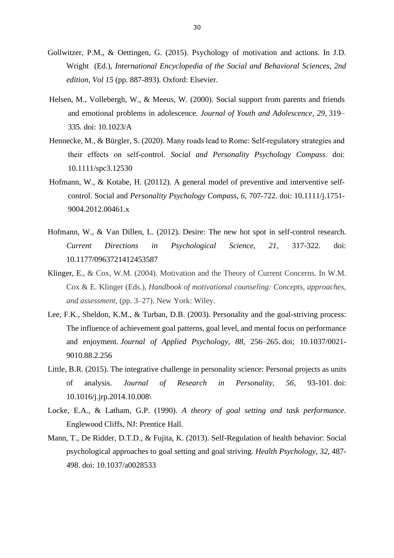- Gollwitzer, P.M., & Oettingen, G. (2015). Psychology of motivation and actions. In J.D. Wright (Ed.), *International Encyclopedia of the Social and Behavioral Sciences, 2nd edition, Vol 15* (pp. 887-893). Oxford: Elsevier.
- Helsen, M., Vollebergh, W., & Meeus, W. (2000). Social support from parents and friends and emotional problems in adolescence. *[Journal of Youth and Adolescence](https://link.springer.com/journal/10964)*, *29*, 319– 335. doi: 10.1023/A
- Hennecke, M., & Bürgler, S. (2020). Many roads lead to Rome: Self-regulatory strategies and their effects on self‐control. *Social and Personality Psychology Compass*. [doi:](https://doi.org/10.1111/spc3.12530)  [10.1111/spc3.12530](https://doi.org/10.1111/spc3.12530)
- Hofmann, W., & Kotabe, H. (20112). A general model of preventive and interventive selfcontrol. Social and *Personality Psychology Compass, 6*, 707-722. doi: 10.1111/j.1751- 9004.2012.00461.x
- Hofmann, W., & Van Dillen, L. (2012). Desire: The new hot spot in self-control research. *Current Directions in Psychological Science, 21*, 317-322. [doi:](https://psycnet.apa.org/doi/10.1177/0963721412453587)  [10.1177/0963721412453587](https://psycnet.apa.org/doi/10.1177/0963721412453587)
- Klinger, E., & Cox, W.M. (2004). Motivation and the Theory of Current Concerns. In W.M. Cox & E. Klinger (Eds.), *Handbook of motivational counseling: Concepts, approaches, and assessment,* (pp. 3–27). New York: Wiley.
- Lee, F.K., Sheldon, K.M., & Turban, D.B. (2003). Personality and the goal-striving process: The influence of achievement goal patterns, goal level, and mental focus on performance and enjoyment. *Journal of Applied Psychology, 88*, 256–265. [doi; 10.1037/0021-](https://psycnet.apa.org/doi/10.1037/0021-9010.88.2.256) [9010.88.2.256](https://psycnet.apa.org/doi/10.1037/0021-9010.88.2.256)
- Little, B.R. (2015). The integrative challenge in personality science: Personal projects as units of analysis. *Journal of Research in Personality, 56*, 93-101. [doi:](https://psycnet.apa.org/doi/10.1016/j.jrp.2014.10.008)  [10.1016/j.jrp.2014.10.008\](https://psycnet.apa.org/doi/10.1016/j.jrp.2014.10.008)
- Locke, E.A., & Latham, G.P. (1990). *A theory of goal setting and task performance.*  Englewood Cliffs, NJ: Prentice Hall.
- Mann, T., De Ridder, D.T.D., & Fujita, K. (2013). Self-Regulation of health behavior: Social psychological approaches to goal setting and goal striving. *Health Psychology, 32,* 487- 498. doi: 10.1037/a0028533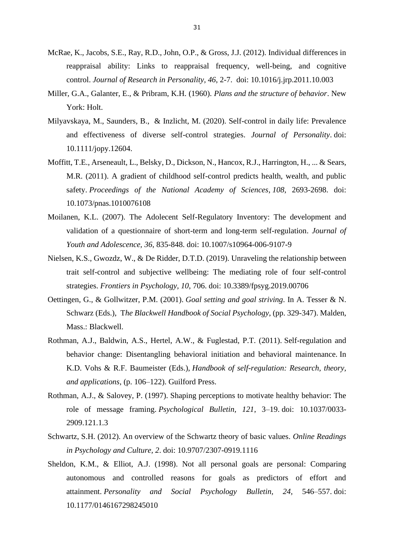- McRae, K., Jacobs, S.E., Ray, R.D., John, O.P., & Gross, J.J. (2012). Individual differences in reappraisal ability: Links to reappraisal frequency, well-being, and cognitive control. *Journal of Research in Personality, 46*, 2-7. [doi: 10.1016/j.jrp.2011.10.003](https://psycnet.apa.org/doi/10.1016/j.jrp.2011.10.003)
- Miller, G.A., Galanter, E., & Pribram, K.H. (1960). *Plans and the structure of behavior*. New York: Holt.
- Milyavskaya, M., Saunders, B., & Inzlicht, M. (2020). Self-control in daily life: Prevalence and effectiveness of diverse self-control strategies. *Journal of Personality*. doi: 10.1111/jopy.12604.
- Moffitt, T.E., Arseneault, L., Belsky, D., Dickson, N., Hancox, R.J., Harrington, H., ... & Sears, M.R. (2011). A gradient of childhood self-control predicts health, wealth, and public safety. *Proceedings of the National Academy of Sciences*, *108*, 2693-2698. [doi:](https://doi.org/10.1073/pnas.1010076108)  [10.1073/pnas.1010076108](https://doi.org/10.1073/pnas.1010076108)
- Moilanen, K.L. (2007). The Adolecent Self-Regulatory Inventory: The development and validation of a questionnaire of short-term and long-term self-regulation. *Journal of Youth and Adolescence, 36*, 835-848. doi: [10.1007/s10964-006-9107-9](https://www.researchgate.net/deref/http%3A%2F%2Fdx.doi.org%2F10.1007%2Fs10964-006-9107-9?_sg%5B0%5D=75PnEktTrkiRfS7L-dcpk7a0mGjyA4oxkiI9hvf9ZnDUjAzsmJTjFdkkgsum6PcIw0fqjuMuMChvxGqVCwJPOyrmJg.ckH3V9FsIuX0-v-99C85tVAtfU3uq8R1wQ6aB1edj1o-Xsv-96mIeiUDdL9He3CWHjKds9at1SD-n2kxF6tD6g)
- Nielsen, K.S., Gwozdz, W., & De Ridder, D.T.D. (2019). Unraveling the relationship between trait self-control and subjective wellbeing: The mediating role of four self-control strategies. *Frontiers in Psychology, 10*, 706. doi: [10.3389/fpsyg.2019.00706](https://psycnet.apa.org/doi/10.3389/fpsyg.2019.00706)
- Oettingen, G., & Gollwitzer, P.M. (2001). *Goal setting and goal striving*. In A. Tesser & N. Schwarz (Eds.), T*he Blackwell Handbook of Social Psychology*, (pp. 329-347). Malden, Mass.: Blackwell.
- Rothman, A.J., Baldwin, A.S., Hertel, A.W., & Fuglestad, P.T. (2011). Self-regulation and behavior change: Disentangling behavioral initiation and behavioral maintenance. In K.D. Vohs & R.F. Baumeister (Eds.), *Handbook of self-regulation: Research, theory, and applications,* (p. 106–122). Guilford Press.
- Rothman, A.J., & Salovey, P. (1997). Shaping perceptions to motivate healthy behavior: The role of message framing. *Psychological Bulletin, 121*, 3–19. [doi: 10.1037/0033-](https://psycnet.apa.org/doi/10.1037/0033-2909.121.1.3) [2909.121.1.3](https://psycnet.apa.org/doi/10.1037/0033-2909.121.1.3)
- Schwartz, S.H. (2012). An overview of the Schwartz theory of basic values. *Online Readings in Psychology and Culture, 2*. doi: 10.9707/2307-0919.1116
- Sheldon, K.M., & Elliot, A.J. (1998). Not all personal goals are personal: Comparing autonomous and controlled reasons for goals as predictors of effort and attainment. *Personality and Social Psychology Bulletin, 24*, 546–557. [doi:](https://psycnet.apa.org/doi/10.1177/0146167298245010)  [10.1177/0146167298245010](https://psycnet.apa.org/doi/10.1177/0146167298245010)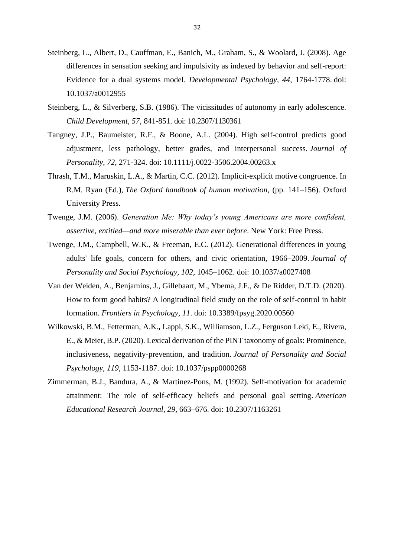- Steinberg, L., Albert, D., Cauffman, E., Banich, M., Graham, S., & Woolard, J. (2008). Age differences in sensation seeking and impulsivity as indexed by behavior and self-report: Evidence for a dual systems model. *Developmental Psychology, 44*, 1764-1778. [doi:](https://doi.org/10.1037/a0012955)  [10.1037/a0012955](https://doi.org/10.1037/a0012955)
- Steinberg, L., & Silverberg, S.B. (1986). The vicissitudes of autonomy in early adolescence. *Child Development, 57*, 841-851. [doi: 10.2307/1130361](https://doi.org/10.2307/1130361)
- Tangney, J.P., Baumeister, R.F., & Boone, A.L. (2004). High self-control predicts good adjustment, less pathology, better grades, and interpersonal success. *Journal of Personality*, *72*, 271-324. [doi: 10.1111/j.0022-3506.2004.00263.x](https://doi.org/10.1111/j.0022-3506.2004.00263.x)
- Thrash, T.M., Maruskin, L.A., & Martin, C.C. (2012). Implicit-explicit motive congruence. In R.M. Ryan (Ed.), *The Oxford handbook of human motivation*, (pp. 141–156). Oxford University Press.
- Twenge, J.M. (2006). *Generation Me: Why today's young Americans are more confident, assertive, entitled—and more miserable than ever before*. New York: Free Press.
- Twenge, J.M., Campbell, W.K., & Freeman, E.C. (2012). Generational differences in young adults' life goals, concern for others, and civic orientation, 1966–2009. *Journal of Personality and Social Psychology, 102*, 1045–1062. [doi: 10.1037/a0027408](https://psycnet.apa.org/doi/10.1037/a0027408)
- Van der Weiden, A., Benjamins, J., Gillebaart, M., Ybema, J.F., & De Ridder, D.T.D. (2020). How to form good habits? A longitudinal field study on the role of self-control in habit formation. *Frontiers in Psychology, 11*. doi: [10.3389/fpsyg.2020.00560](http://dx.doi.org/10.3389/fpsyg.2020.00560)
- Wilkowski, B.M., Fetterman, A.K.**,** Lappi, S.K., Williamson, L.Z., Ferguson Leki, E., Rivera, E., & Meier, B.P. (2020). Lexical derivation of the PINT taxonomy of goals: Prominence, inclusiveness, negativity-prevention, and tradition. *Journal of Personality and Social Psychology*, *119*, 1153-1187. doi: 10.1037/pspp0000268
- Zimmerman, B.J., Bandura, A., & Martinez-Pons, M. (1992). Self-motivation for academic attainment: The role of self-efficacy beliefs and personal goal setting. *American Educational Research Journal, 29*, 663–676. [doi: 10.2307/1163261](https://psycnet.apa.org/doi/10.2307/1163261)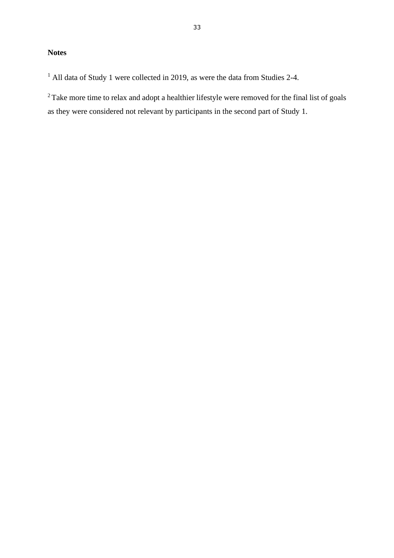## **Notes**

<sup>1</sup> All data of Study 1 were collected in 2019, as were the data from Studies 2-4.

<sup>2</sup> Take more time to relax and adopt a healthier lifestyle were removed for the final list of goals as they were considered not relevant by participants in the second part of Study 1.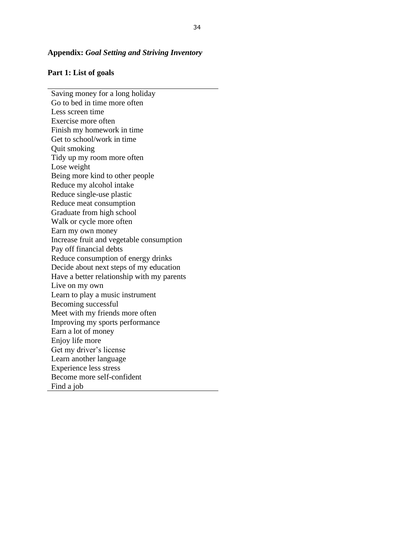#### **Appendix:** *Goal Setting and Striving Inventory*

#### **Part 1: List of goals**

Saving money for a long holiday Go to bed in time more often Less screen time Exercise more often Finish my homework in time Get to school/work in time Quit smoking Tidy up my room more often Lose weight Being more kind to other people Reduce my alcohol intake Reduce single-use plastic Reduce meat consumption Graduate from high school Walk or cycle more often Earn my own money Increase fruit and vegetable consumption Pay off financial debts Reduce consumption of energy drinks Decide about next steps of my education Have a better relationship with my parents Live on my own Learn to play a music instrument Becoming successful Meet with my friends more often Improving my sports performance Earn a lot of money Enjoy life more Get my driver's license Learn another language Experience less stress Become more self-confident Find a job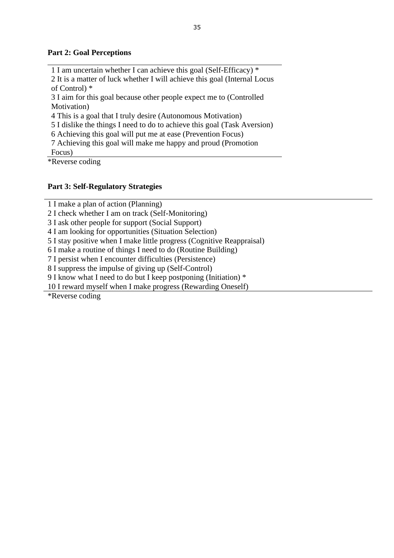#### **Part 2: Goal Perceptions**

1 I am uncertain whether I can achieve this goal (Self-Efficacy) \* 2 It is a matter of luck whether I will achieve this goal (Internal Locus of Control) \* 3 I aim for this goal because other people expect me to (Controlled Motivation) 4 This is a goal that I truly desire (Autonomous Motivation) 5 I dislike the things I need to do to achieve this goal (Task Aversion) 6 Achieving this goal will put me at ease (Prevention Focus) 7 Achieving this goal will make me happy and proud (Promotion Focus)

\*Reverse coding

#### **Part 3: Self-Regulatory Strategies**

1 I make a plan of action (Planning)

2 I check whether I am on track (Self-Monitoring)

3 I ask other people for support (Social Support)

4 I am looking for opportunities (Situation Selection)

5 I stay positive when I make little progress (Cognitive Reappraisal)

6 I make a routine of things I need to do (Routine Building)

7 I persist when I encounter difficulties (Persistence)

8 I suppress the impulse of giving up (Self-Control)

9 I know what I need to do but I keep postponing (Initiation) \*

10 I reward myself when I make progress (Rewarding Oneself)

\*Reverse coding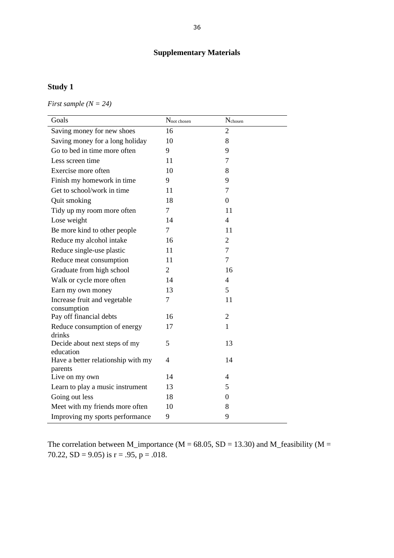## **Supplementary Materials**

## **Study 1**

*First sample (N = 24)*

| Goals                                         | $N_{\text{not chosen}}$ | $N_{\rm chosen}$ |
|-----------------------------------------------|-------------------------|------------------|
| Saving money for new shoes                    | 16                      | $\overline{2}$   |
| Saving money for a long holiday               | 10                      | 8                |
| Go to bed in time more often                  | 9                       | 9                |
| Less screen time                              | 11                      | 7                |
| Exercise more often                           | 10                      | 8                |
| Finish my homework in time                    | 9                       | 9                |
| Get to school/work in time                    | 11                      | 7                |
| Quit smoking                                  | 18                      | $\overline{0}$   |
| Tidy up my room more often                    | $\overline{7}$          | 11               |
| Lose weight                                   | 14                      | $\overline{4}$   |
| Be more kind to other people                  | 7                       | 11               |
| Reduce my alcohol intake                      | 16                      | $\overline{2}$   |
| Reduce single-use plastic                     | 11                      | $\overline{7}$   |
| Reduce meat consumption                       | 11                      | $\overline{7}$   |
| Graduate from high school                     | $\overline{2}$          | 16               |
| Walk or cycle more often                      | 14                      | $\overline{4}$   |
| Earn my own money                             | 13                      | 5                |
| Increase fruit and vegetable<br>consumption   | 7                       | 11               |
| Pay off financial debts                       | 16                      | 2                |
| Reduce consumption of energy<br>drinks        | 17                      | $\mathbf{1}$     |
| Decide about next steps of my<br>education    | 5                       | 13               |
| Have a better relationship with my<br>parents | $\overline{4}$          | 14               |
| Live on my own                                | 14                      | $\overline{4}$   |
| Learn to play a music instrument              | 13                      | 5                |
| Going out less                                | 18                      | $\overline{0}$   |
| Meet with my friends more often               | 10                      | 8                |
| Improving my sports performance               | 9                       | 9                |

The correlation between M\_importance ( $M = 68.05$ ,  $SD = 13.30$ ) and M\_feasibility ( $M =$ 70.22, SD = 9.05) is  $r = .95$ ,  $p = .018$ .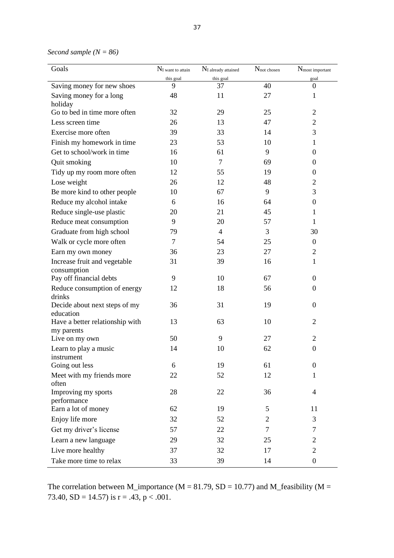*Second sample (N = 86)*

| Goals                                         | $N_I$ want to attain | $N_I$ already attained | $N_{\text{not chosen}}$ | N <sub>most</sub> important |  |  |
|-----------------------------------------------|----------------------|------------------------|-------------------------|-----------------------------|--|--|
|                                               | this goal            | this goal              |                         | goal                        |  |  |
| Saving money for new shoes                    | 9                    | 37                     | 40                      | $\mathbf{0}$                |  |  |
| Saving money for a long<br>holiday            | 48                   | 11                     | 27                      | 1                           |  |  |
| Go to bed in time more often                  | 32                   | 29                     | 25                      | $\overline{2}$              |  |  |
| Less screen time                              | 26                   | 13                     | 47                      | $\overline{c}$              |  |  |
| Exercise more often                           | 39                   | 33                     | 14                      | 3                           |  |  |
| Finish my homework in time                    | 23                   | 53                     | 10                      | 1                           |  |  |
| Get to school/work in time                    | 16                   | 61                     | 9                       | $\overline{0}$              |  |  |
| Quit smoking                                  | 10                   | 7                      | 69                      | $\overline{0}$              |  |  |
| Tidy up my room more often                    | 12                   | 55                     | 19                      | $\theta$                    |  |  |
| Lose weight                                   | 26                   | 12                     | 48                      | $\mathbf{2}$                |  |  |
| Be more kind to other people                  | 10                   | 67                     | 9                       | 3                           |  |  |
| Reduce my alcohol intake                      | 6                    | 16                     | 64                      | $\boldsymbol{0}$            |  |  |
| Reduce single-use plastic                     | 20                   | 21                     | 45                      | 1                           |  |  |
| Reduce meat consumption                       | 9                    | 20                     | 57                      | $\mathbf{1}$                |  |  |
| Graduate from high school                     | 79                   | 4                      | 3                       | 30                          |  |  |
| Walk or cycle more often                      | 7                    | 54                     | 25                      | $\overline{0}$              |  |  |
| Earn my own money                             | 36                   | 23                     | 27                      | $\overline{2}$              |  |  |
| Increase fruit and vegetable<br>consumption   | 31                   | 39                     | 16                      | $\mathbf{1}$                |  |  |
| Pay off financial debts                       | 9                    | 10                     | 67                      | $\overline{0}$              |  |  |
| Reduce consumption of energy                  | 12                   | 18                     | 56                      | $\boldsymbol{0}$            |  |  |
| drinks<br>Decide about next steps of my       | 36                   | 31                     | 19                      | $\boldsymbol{0}$            |  |  |
| education                                     |                      |                        |                         |                             |  |  |
| Have a better relationship with<br>my parents | 13                   | 63                     | 10                      | 2                           |  |  |
| Live on my own                                | 50                   | 9                      | 27                      | 2                           |  |  |
| Learn to play a music                         | 14                   | 10                     | 62                      | $\boldsymbol{0}$            |  |  |
| instrument                                    |                      |                        |                         |                             |  |  |
| Going out less                                | 6                    | 19                     | 61                      | $\boldsymbol{0}$            |  |  |
| Meet with my friends more<br>often            | 22                   | 52                     | 12                      | 1                           |  |  |
| Improving my sports<br>performance            | 28                   | 22                     | 36                      | 4                           |  |  |
| Earn a lot of money                           | 62                   | 19                     | 5                       | 11                          |  |  |
| Enjoy life more                               | 32                   | 52                     | 2                       | 3                           |  |  |
| Get my driver's license                       | 57                   | 22                     | $\tau$                  | 7                           |  |  |
| Learn a new language                          | 29                   | 32                     | 25                      | 2                           |  |  |
| Live more healthy                             | 37                   | 32                     | 17                      | $\overline{2}$              |  |  |
| Take more time to relax                       | 33                   | 39                     | 14                      | $\boldsymbol{0}$            |  |  |

The correlation between M\_importance ( $M = 81.79$ ,  $SD = 10.77$ ) and M\_feasibility ( $M =$ 73.40,  $SD = 14.57$ ) is  $r = .43$ ,  $p < .001$ .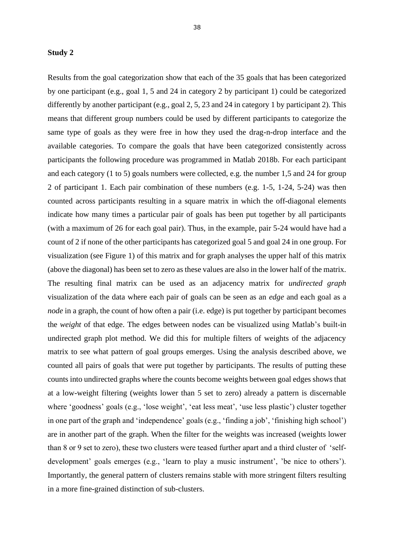#### **Study 2**

Results from the goal categorization show that each of the 35 goals that has been categorized by one participant (e.g., goal 1, 5 and 24 in category 2 by participant 1) could be categorized differently by another participant (e.g., goal 2, 5, 23 and 24 in category 1 by participant 2). This means that different group numbers could be used by different participants to categorize the same type of goals as they were free in how they used the drag-n-drop interface and the available categories. To compare the goals that have been categorized consistently across participants the following procedure was programmed in Matlab 2018b. For each participant and each category (1 to 5) goals numbers were collected, e.g. the number 1,5 and 24 for group 2 of participant 1. Each pair combination of these numbers (e.g. 1-5, 1-24, 5-24) was then counted across participants resulting in a square matrix in which the off-diagonal elements indicate how many times a particular pair of goals has been put together by all participants (with a maximum of 26 for each goal pair). Thus, in the example, pair 5-24 would have had a count of 2 if none of the other participants has categorized goal 5 and goal 24 in one group. For visualization (see Figure 1) of this matrix and for graph analyses the upper half of this matrix (above the diagonal) has been set to zero as these values are also in the lower half of the matrix. The resulting final matrix can be used as an adjacency matrix for *undirected graph* visualization of the data where each pair of goals can be seen as an *edge* and each goal as a *node* in a graph, the count of how often a pair (i.e. edge) is put together by participant becomes the *weight* of that edge. The edges between nodes can be visualized using Matlab's built-in undirected graph plot method. We did this for multiple filters of weights of the adjacency matrix to see what pattern of goal groups emerges. Using the analysis described above, we counted all pairs of goals that were put together by participants. The results of putting these counts into undirected graphs where the counts become weights between goal edges shows that at a low-weight filtering (weights lower than 5 set to zero) already a pattern is discernable where 'goodness' goals (e.g., 'lose weight', 'eat less meat', 'use less plastic') cluster together in one part of the graph and 'independence' goals (e.g., 'finding a job', 'finishing high school') are in another part of the graph. When the filter for the weights was increased (weights lower than 8 or 9 set to zero), these two clusters were teased further apart and a third cluster of 'selfdevelopment' goals emerges (e.g., 'learn to play a music instrument', 'be nice to others'). Importantly, the general pattern of clusters remains stable with more stringent filters resulting in a more fine-grained distinction of sub-clusters.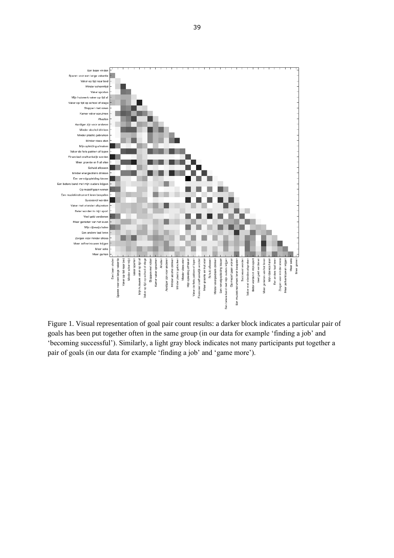

Figure 1. Visual representation of goal pair count results: a darker block indicates a particular pair of goals has been put together often in the same group (in our data for example 'finding a job' and 'becoming successful'). Similarly, a light gray block indicates not many participants put together a pair of goals (in our data for example 'finding a job' and 'game more').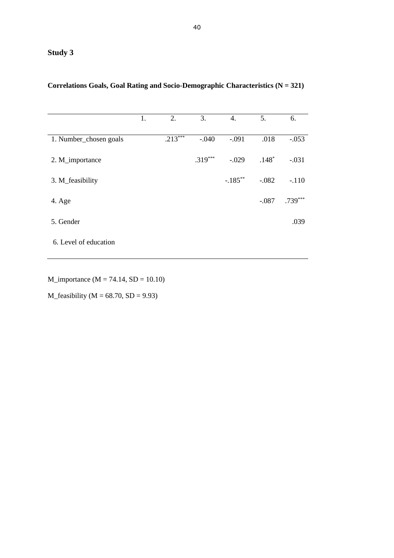# **Study 3**

|                        | 1. | 2.        | 3.        | 4.         | 5.      | 6.        |
|------------------------|----|-----------|-----------|------------|---------|-----------|
|                        |    |           |           |            |         |           |
| 1. Number_chosen goals |    | $.213***$ | $-.040$   | $-.091$    | .018    | $-.053$   |
|                        |    |           |           |            |         |           |
| 2. M_importance        |    |           | $.319***$ | $-.029$    | $.148*$ | $-.031$   |
|                        |    |           |           |            |         |           |
| 3. M_feasibility       |    |           |           | $-.185***$ | $-.082$ | $-.110$   |
|                        |    |           |           |            |         |           |
| 4. Age                 |    |           |           |            | $-.087$ | $.739***$ |
|                        |    |           |           |            |         |           |
| 5. Gender              |    |           |           |            |         | .039      |
|                        |    |           |           |            |         |           |
| 6. Level of education  |    |           |           |            |         |           |
|                        |    |           |           |            |         |           |

## **Correlations Goals, Goal Rating and Socio-Demographic Characteristics (N = 321)**

 $M$ \_importance ( $M = 74.14$ ,  $SD = 10.10$ )

M\_feasibility ( $M = 68.70$ ,  $SD = 9.93$ )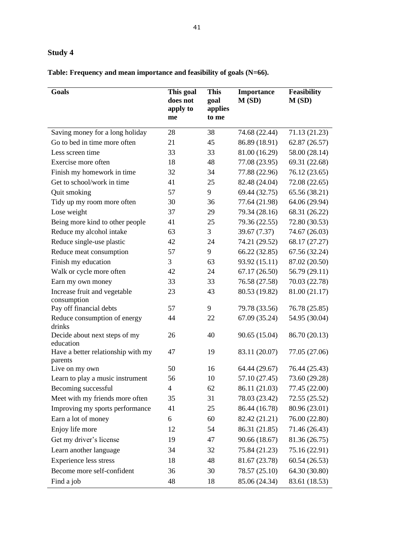# **Study 4**

**Table: Frequency and mean importance and feasibility of goals (N=66).**

| Goals                                      | This goal<br>does not<br>apply to<br>me | <b>This</b><br>goal<br>applies<br>to me | <b>Importance</b><br>M(SD) | <b>Feasibility</b><br>M(SD) |
|--------------------------------------------|-----------------------------------------|-----------------------------------------|----------------------------|-----------------------------|
| Saving money for a long holiday            | 28                                      | 38                                      | 74.68 (22.44)              | 71.13 (21.23)               |
| Go to bed in time more often               | 21                                      | 45                                      | 86.89 (18.91)              | 62.87 (26.57)               |
| Less screen time                           | 33                                      | 33                                      | 81.00 (16.29)              | 58.00 (28.14)               |
| Exercise more often                        | 18                                      | 48                                      | 77.08 (23.95)              | 69.31 (22.68)               |
| Finish my homework in time                 | 32                                      | 34                                      | 77.88 (22.96)              | 76.12 (23.65)               |
| Get to school/work in time                 | 41                                      | 25                                      | 82.48 (24.04)              | 72.08 (22.65)               |
| Quit smoking                               | 57                                      | 9                                       | 69.44 (32.75)              | 65.56 (38.21)               |
| Tidy up my room more often                 | 30                                      | 36                                      | 77.64 (21.98)              | 64.06 (29.94)               |
| Lose weight                                | 37                                      | 29                                      | 79.34 (28.16)              | 68.31 (26.22)               |
| Being more kind to other people            | 41                                      | 25                                      | 79.36 (22.55)              | 72.80 (30.53)               |
| Reduce my alcohol intake                   | 63                                      | 3                                       | 39.67 (7.37)               | 74.67 (26.03)               |
| Reduce single-use plastic                  | 42                                      | 24                                      | 74.21 (29.52)              | 68.17 (27.27)               |
| Reduce meat consumption                    | 57                                      | 9                                       | 66.22 (32.85)              | 67.56 (32.24)               |
| Finish my education                        | 3                                       | 63                                      | 93.92 (15.11)              | 87.02 (20.50)               |
| Walk or cycle more often                   | 42                                      | 24                                      | 67.17(26.50)               | 56.79 (29.11)               |
| Earn my own money                          | 33                                      | 33                                      | 76.58 (27.58)              | 70.03 (22.78)               |
| Increase fruit and vegetable               | 23                                      | 43                                      | 80.53 (19.82)              | 81.00 (21.17)               |
| consumption<br>Pay off financial debts     | 57                                      | 9                                       | 79.78 (33.56)              | 76.78 (25.85)               |
| Reduce consumption of energy               | 44                                      | 22                                      | 67.09 (35.24)              | 54.95 (30.04)               |
| drinks                                     |                                         |                                         |                            |                             |
| Decide about next steps of my<br>education | 26                                      | 40                                      | 90.65 (15.04)              | 86.70 (20.13)               |
| Have a better relationship with my         | 47                                      | 19                                      | 83.11 (20.07)              | 77.05 (27.06)               |
| parents<br>Live on my own                  | 50                                      | 16                                      | 64.44 (29.67)              | 76.44 (25.43)               |
| Learn to play a music instrument           | 56                                      | 10                                      | 57.10 (27.45)              | 73.60 (29.28)               |
| Becoming successful                        | 4                                       | 62                                      | 86.11 (21.03)              | 77.45 (22.00)               |
| Meet with my friends more often            | 35                                      | 31                                      | 78.03 (23.42)              | 72.55 (25.52)               |
| Improving my sports performance            | 41                                      | 25                                      | 86.44 (16.78)              | 80.96 (23.01)               |
| Earn a lot of money                        | 6                                       | 60                                      | 82.42 (21.21)              | 76.00 (22.80)               |
| Enjoy life more                            | 12                                      | 54                                      | 86.31 (21.85)              | 71.46 (26.43)               |
| Get my driver's license                    | 19                                      | 47                                      | 90.66 (18.67)              | 81.36 (26.75)               |
|                                            |                                         |                                         |                            |                             |
| Learn another language                     | 34                                      | 32                                      | 75.84 (21.23)              | 75.16 (22.91)               |
| <b>Experience less stress</b>              | 18                                      | 48                                      | 81.67 (23.78)              | 60.54 (26.53)               |
| Become more self-confident                 | 36                                      | 30                                      | 78.57 (25.10)              | 64.30 (30.80)               |
| Find a job                                 | 48                                      | 18                                      | 85.06 (24.34)              | 83.61 (18.53)               |